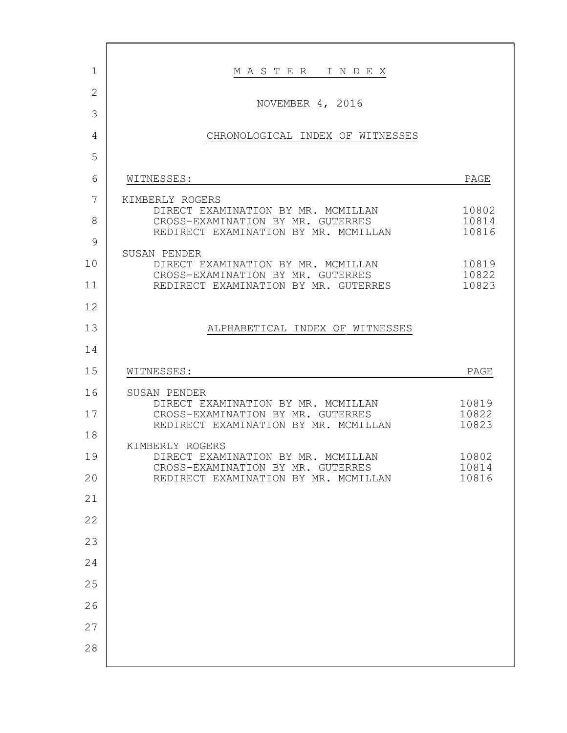| 1            | MASTER INDEX                                                                                                    |                         |
|--------------|-----------------------------------------------------------------------------------------------------------------|-------------------------|
| $\mathbf{2}$ |                                                                                                                 |                         |
| 3            | NOVEMBER 4, 2016                                                                                                |                         |
| 4            | CHRONOLOGICAL INDEX OF WITNESSES                                                                                |                         |
| 5            |                                                                                                                 |                         |
| 6            | WITNESSES:                                                                                                      | PAGE                    |
| 7            | KIMBERLY ROGERS                                                                                                 |                         |
| 8            | DIRECT EXAMINATION BY MR. MCMILLAN<br>CROSS-EXAMINATION BY MR. GUTERRES<br>REDIRECT EXAMINATION BY MR. MCMILLAN | 10802<br>10814<br>10816 |
| 9            |                                                                                                                 |                         |
| 10           | SUSAN PENDER<br>DIRECT EXAMINATION BY MR. MCMILLAN                                                              | 10819                   |
| 11           | CROSS-EXAMINATION BY MR. GUTERRES<br>REDIRECT EXAMINATION BY MR. GUTERRES                                       | 10822<br>10823          |
| 12           |                                                                                                                 |                         |
| 13           | ALPHABETICAL INDEX OF WITNESSES                                                                                 |                         |
| 14           |                                                                                                                 |                         |
|              |                                                                                                                 |                         |
| 15           | WITNESSES:                                                                                                      | PAGE                    |
| 16           | SUSAN PENDER                                                                                                    |                         |
| 17           | DIRECT EXAMINATION BY MR. MCMILLAN<br>CROSS-EXAMINATION BY MR. GUTERRES                                         | 10819<br>10822          |
| 18           | REDIRECT EXAMINATION BY MR. MCMILLAN                                                                            | 10823                   |
| 19           | KIMBERLY ROGERS<br>DIRECT EXAMINATION BY MR. MCMILLAN                                                           | 10802                   |
| 20           | CROSS-EXAMINATION BY MR. GUTERRES<br>REDIRECT EXAMINATION BY MR. MCMILLAN                                       | 10814<br>10816          |
| 21           |                                                                                                                 |                         |
| 22           |                                                                                                                 |                         |
| 23           |                                                                                                                 |                         |
| 24           |                                                                                                                 |                         |
| 25           |                                                                                                                 |                         |
| 26           |                                                                                                                 |                         |
| 27           |                                                                                                                 |                         |
| 28           |                                                                                                                 |                         |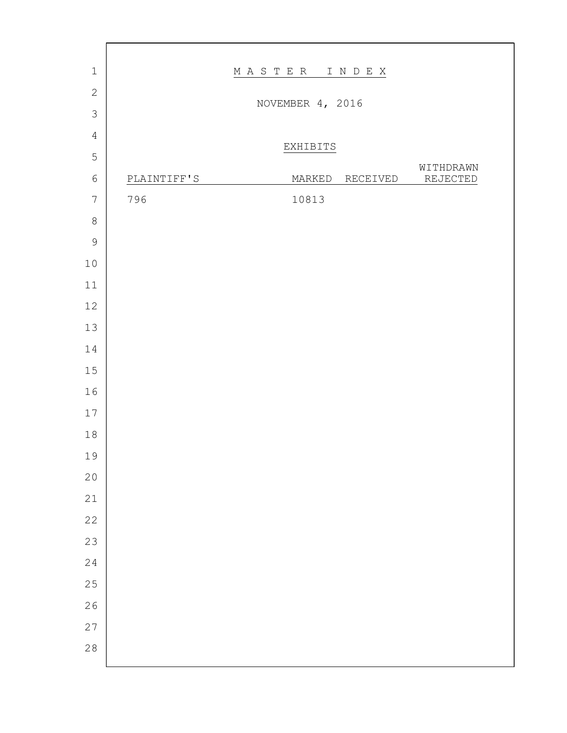| $\,1\,$        |             | MASTER INDEX     |          |                       |  |
|----------------|-------------|------------------|----------|-----------------------|--|
| $\mathbf{2}$   |             |                  |          |                       |  |
| $\mathfrak{Z}$ |             | NOVEMBER 4, 2016 |          |                       |  |
| $\sqrt{4}$     |             |                  |          |                       |  |
| 5              |             | EXHIBITS         |          |                       |  |
| $\epsilon$     | PLAINTIFF'S | MARKED           | RECEIVED | WITHDRAWN<br>REJECTED |  |
| $\sqrt{ }$     | 796         | 10813            |          |                       |  |
| $\,8\,$        |             |                  |          |                       |  |
| $\mathsf 9$    |             |                  |          |                       |  |
| $10$           |             |                  |          |                       |  |
| $11\,$         |             |                  |          |                       |  |
| $12\,$         |             |                  |          |                       |  |
| 13             |             |                  |          |                       |  |
| $1\,4$         |             |                  |          |                       |  |
| $1\,5$         |             |                  |          |                       |  |
| 16             |             |                  |          |                       |  |
| $17\,$         |             |                  |          |                       |  |
| $1\,8$         |             |                  |          |                       |  |
| 19             |             |                  |          |                       |  |
| 20             |             |                  |          |                       |  |
| 21             |             |                  |          |                       |  |
| 22             |             |                  |          |                       |  |
| 23             |             |                  |          |                       |  |
| 24             |             |                  |          |                       |  |
| 25             |             |                  |          |                       |  |
| 26             |             |                  |          |                       |  |
| 27             |             |                  |          |                       |  |
| 28             |             |                  |          |                       |  |
|                |             |                  |          |                       |  |

г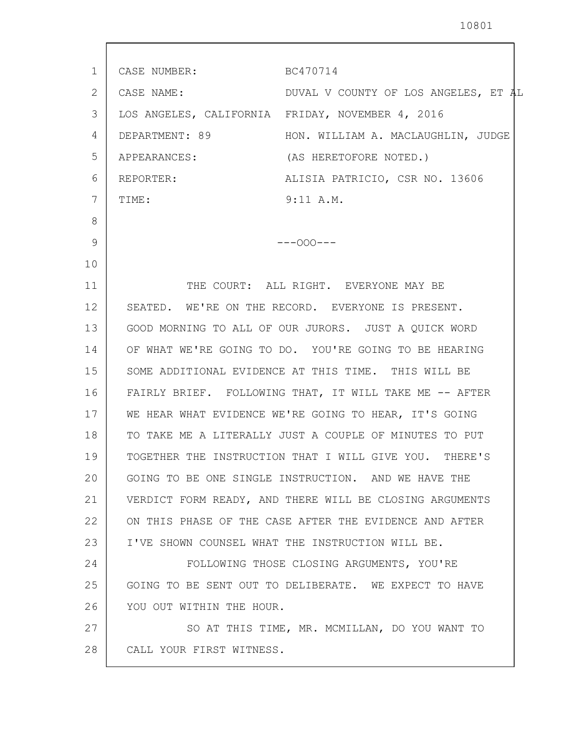| 1  | CASE NUMBER: BC470714    |                                                           |
|----|--------------------------|-----------------------------------------------------------|
| 2  | CASE NAME:               | DUVAL V COUNTY OF LOS ANGELES, ET AL                      |
| 3  |                          | LOS ANGELES, CALIFORNIA FRIDAY, NOVEMBER 4, 2016          |
| 4  |                          | DEPARTMENT: 89 HON. WILLIAM A. MACLAUGHLIN, JUDGE         |
| 5  | APPEARANCES:             | (AS HERETOFORE NOTED.)                                    |
| 6  | REPORTER:                | ALISIA PATRICIO, CSR NO. 13606                            |
| 7  | TIME:                    | 9:11 A.M.                                                 |
| 8  |                          |                                                           |
| 9  |                          | $---000---$                                               |
| 10 |                          |                                                           |
| 11 |                          | THE COURT: ALL RIGHT. EVERYONE MAY BE                     |
| 12 |                          | SEATED. WE'RE ON THE RECORD. EVERYONE IS PRESENT.         |
| 13 |                          | GOOD MORNING TO ALL OF OUR JURORS. JUST A QUICK WORD      |
| 14 |                          | OF WHAT WE'RE GOING TO DO. YOU'RE GOING TO BE HEARING     |
| 15 |                          | SOME ADDITIONAL EVIDENCE AT THIS TIME. THIS WILL BE       |
| 16 |                          | FAIRLY BRIEF. FOLLOWING THAT, IT WILL TAKE ME -- AFTER    |
| 17 |                          | WE HEAR WHAT EVIDENCE WE'RE GOING TO HEAR, IT'S GOING     |
| 18 |                          | TO TAKE ME A LITERALLY JUST A COUPLE OF MINUTES TO PUT    |
| 19 |                          | TOGETHER THE INSTRUCTION THAT I WILL GIVE YOU.<br>THERE'S |
| 20 |                          | GOING TO BE ONE SINGLE INSTRUCTION. AND WE HAVE THE       |
| 21 |                          | VERDICT FORM READY, AND THERE WILL BE CLOSING ARGUMENTS   |
| 22 |                          | ON THIS PHASE OF THE CASE AFTER THE EVIDENCE AND AFTER    |
| 23 |                          | I'VE SHOWN COUNSEL WHAT THE INSTRUCTION WILL BE.          |
| 24 |                          | FOLLOWING THOSE CLOSING ARGUMENTS, YOU'RE                 |
| 25 |                          | GOING TO BE SENT OUT TO DELIBERATE. WE EXPECT TO HAVE     |
| 26 | YOU OUT WITHIN THE HOUR. |                                                           |
| 27 |                          | SO AT THIS TIME, MR. MCMILLAN, DO YOU WANT TO             |
| 28 | CALL YOUR FIRST WITNESS. |                                                           |
|    |                          |                                                           |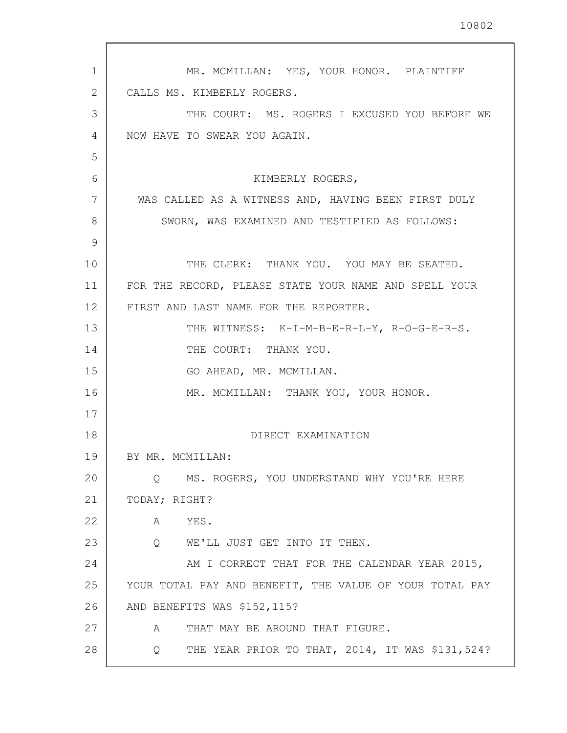| 1  | MR. MCMILLAN: YES, YOUR HONOR. PLAINTIFF                |
|----|---------------------------------------------------------|
| 2  | CALLS MS. KIMBERLY ROGERS.                              |
| 3  | THE COURT: MS. ROGERS I EXCUSED YOU BEFORE WE           |
| 4  | NOW HAVE TO SWEAR YOU AGAIN.                            |
| 5  |                                                         |
| 6  | KIMBERLY ROGERS,                                        |
| 7  | WAS CALLED AS A WITNESS AND, HAVING BEEN FIRST DULY     |
| 8  | SWORN, WAS EXAMINED AND TESTIFIED AS FOLLOWS:           |
| 9  |                                                         |
| 10 | THE CLERK: THANK YOU. YOU MAY BE SEATED.                |
| 11 | FOR THE RECORD, PLEASE STATE YOUR NAME AND SPELL YOUR   |
| 12 | FIRST AND LAST NAME FOR THE REPORTER.                   |
| 13 | THE WITNESS: K-I-M-B-E-R-L-Y, R-O-G-E-R-S.              |
| 14 | THE COURT: THANK YOU.                                   |
| 15 | GO AHEAD, MR. MCMILLAN.                                 |
| 16 | MR. MCMILLAN: THANK YOU, YOUR HONOR.                    |
| 17 |                                                         |
| 18 | DIRECT EXAMINATION                                      |
| 19 | BY MR. MCMILLAN:                                        |
| 20 | MS. ROGERS, YOU UNDERSTAND WHY YOU'RE HERE<br>0         |
| 21 | TODAY; RIGHT?                                           |
| 22 | A<br>YES.                                               |
| 23 | WE'LL JUST GET INTO IT THEN.<br>Q                       |
| 24 | AM I CORRECT THAT FOR THE CALENDAR YEAR 2015,           |
| 25 | YOUR TOTAL PAY AND BENEFIT, THE VALUE OF YOUR TOTAL PAY |
| 26 | AND BENEFITS WAS \$152,115?                             |
| 27 | THAT MAY BE AROUND THAT FIGURE.<br>A                    |
| 28 | THE YEAR PRIOR TO THAT, 2014, IT WAS \$131,524?<br>Q    |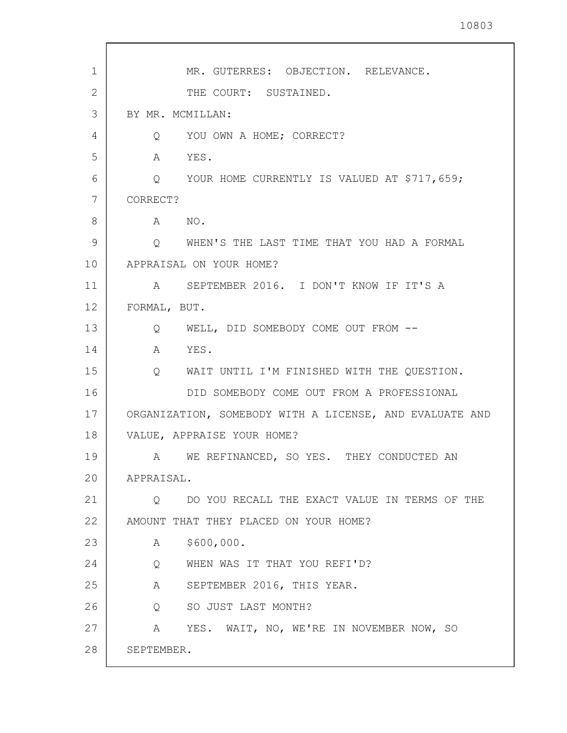| $\mathbf{1}$ | MR. GUTERRES: OBJECTION. RELEVANCE.                         |
|--------------|-------------------------------------------------------------|
| 2            | THE COURT: SUSTAINED.                                       |
| 3            | BY MR. MCMILLAN:                                            |
| 4            | Q YOU OWN A HOME; CORRECT?                                  |
| 5            | A YES.                                                      |
| 6            | Q YOUR HOME CURRENTLY IS VALUED AT \$717,659;               |
| 7            | CORRECT?                                                    |
| 8            | A NO.                                                       |
| 9            | O WHEN'S THE LAST TIME THAT YOU HAD A FORMAL                |
| 10           | APPRAISAL ON YOUR HOME?                                     |
| 11           | A SEPTEMBER 2016. I DON'T KNOW IF IT'S A                    |
| 12           | FORMAL, BUT.                                                |
| 13           | Q WELL, DID SOMEBODY COME OUT FROM --                       |
| 14           | YES.<br>A                                                   |
| 15           | $Q_{\rm max}$<br>WAIT UNTIL I'M FINISHED WITH THE QUESTION. |
| 16           | DID SOMEBODY COME OUT FROM A PROFESSIONAL                   |
| 17           | ORGANIZATION, SOMEBODY WITH A LICENSE, AND EVALUATE AND     |
| 18           | VALUE, APPRAISE YOUR HOME?                                  |
| 19           | A WE REFINANCED, SO YES. THEY CONDUCTED AN                  |
| 20           | APPRAISAL.                                                  |
| 21           | DO YOU RECALL THE EXACT VALUE IN TERMS OF THE<br>Q          |
| 22           | AMOUNT THAT THEY PLACED ON YOUR HOME?                       |
| 23           | \$600,000.<br>A                                             |
| 24           | WHEN WAS IT THAT YOU REFI'D?<br>$Q \qquad \qquad$           |
| 25           | A SEPTEMBER 2016, THIS YEAR.                                |
| 26           | Q SO JUST LAST MONTH?                                       |
| 27           | A YES. WAIT, NO, WE'RE IN NOVEMBER NOW, SO                  |
| 28           | SEPTEMBER.                                                  |
|              |                                                             |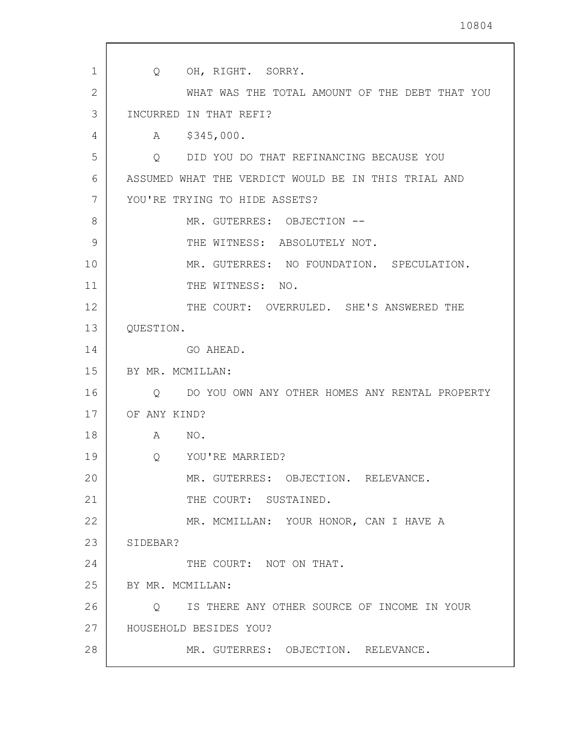| $\mathbf{1}$ | OH, RIGHT. SORRY.<br>Q                              |
|--------------|-----------------------------------------------------|
| 2            | WHAT WAS THE TOTAL AMOUNT OF THE DEBT THAT YOU      |
| 3            | INCURRED IN THAT REFI?                              |
| 4            | \$345,000.<br>$A \quad \alpha$                      |
| 5            | DID YOU DO THAT REFINANCING BECAUSE YOU<br>Q        |
| 6            | ASSUMED WHAT THE VERDICT WOULD BE IN THIS TRIAL AND |
| 7            | YOU'RE TRYING TO HIDE ASSETS?                       |
| 8            | MR. GUTERRES: OBJECTION --                          |
| 9            | THE WITNESS: ABSOLUTELY NOT.                        |
| 10           | MR. GUTERRES: NO FOUNDATION. SPECULATION.           |
| 11           | THE WITNESS: NO.                                    |
| 12           | THE COURT: OVERRULED. SHE'S ANSWERED THE            |
| 13           | QUESTION.                                           |
| 14           | GO AHEAD.                                           |
| 15           | BY MR. MCMILLAN:                                    |
| 16           | DO YOU OWN ANY OTHER HOMES ANY RENTAL PROPERTY<br>Q |
| 17           | OF ANY KIND?                                        |
| 18           | A<br>NO.                                            |
| 19           | Q<br>YOU'RE MARRIED?                                |
| 20           | MR. GUTERRES: OBJECTION. RELEVANCE.                 |
| 21           | THE COURT: SUSTAINED.                               |
| 22           | MR. MCMILLAN: YOUR HONOR, CAN I HAVE A              |
| 23           | SIDEBAR?                                            |
| 24           | THE COURT: NOT ON THAT.                             |
| 25           | BY MR. MCMILLAN:                                    |
| 26           | Q IS THERE ANY OTHER SOURCE OF INCOME IN YOUR       |
| 27           | HOUSEHOLD BESIDES YOU?                              |
| 28           | MR. GUTERRES: OBJECTION. RELEVANCE.                 |
|              |                                                     |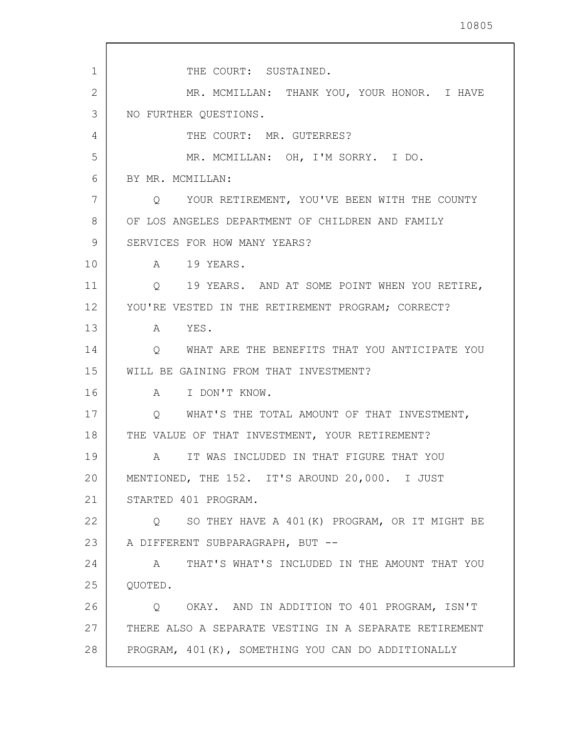1 2 3 4 5 6 7 8 9 10 11 12 13 14 15 16 17 18 19 20 21 22 23 24 25 26 27 28 THE COURT: SUSTAINED. MR. MCMILLAN: THANK YOU, YOUR HONOR. I HAVE NO FURTHER QUESTIONS. THE COURT: MR. GUTERRES? MR. MCMILLAN: OH, I'M SORRY. I DO. BY MR. MCMILLAN: Q YOUR RETIREMENT, YOU'VE BEEN WITH THE COUNTY OF LOS ANGELES DEPARTMENT OF CHILDREN AND FAMILY SERVICES FOR HOW MANY YEARS? A 19 YEARS. Q 19 YEARS. AND AT SOME POINT WHEN YOU RETIRE, YOU'RE VESTED IN THE RETIREMENT PROGRAM; CORRECT? A YES. Q WHAT ARE THE BENEFITS THAT YOU ANTICIPATE YOU WILL BE GAINING FROM THAT INVESTMENT? A I DON'T KNOW. Q WHAT'S THE TOTAL AMOUNT OF THAT INVESTMENT, THE VALUE OF THAT INVESTMENT, YOUR RETIREMENT? A IT WAS INCLUDED IN THAT FIGURE THAT YOU MENTIONED, THE 152. IT'S AROUND 20,000. I JUST STARTED 401 PROGRAM. Q SO THEY HAVE A 401(K) PROGRAM, OR IT MIGHT BE A DIFFERENT SUBPARAGRAPH, BUT -- A THAT'S WHAT'S INCLUDED IN THE AMOUNT THAT YOU QUOTED. Q OKAY. AND IN ADDITION TO 401 PROGRAM, ISN'T THERE ALSO A SEPARATE VESTING IN A SEPARATE RETIREMENT PROGRAM, 401(K), SOMETHING YOU CAN DO ADDITIONALLY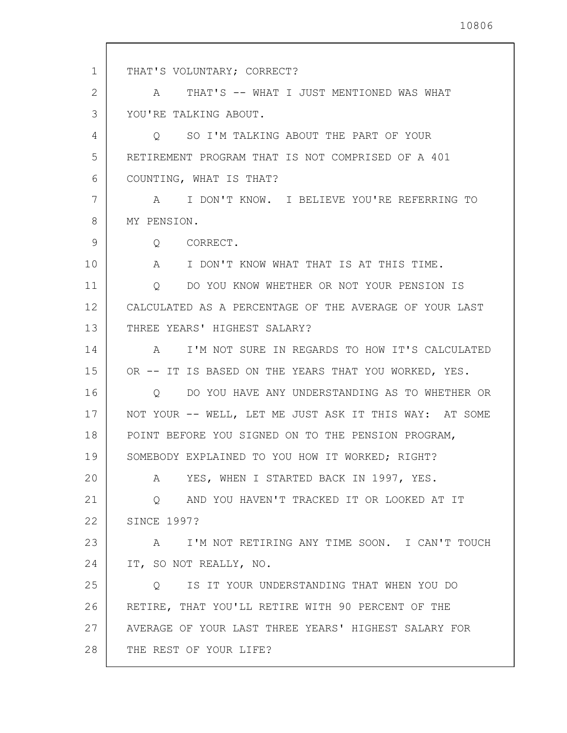1 2 3 4 5 6 7 8 9 10 11 12 13 14 15 16 17 18 19 20 21 22 23 24 25 26 27 28 THAT'S VOLUNTARY; CORRECT? A THAT'S -- WHAT I JUST MENTIONED WAS WHAT YOU'RE TALKING ABOUT. Q SO I'M TALKING ABOUT THE PART OF YOUR RETIREMENT PROGRAM THAT IS NOT COMPRISED OF A 401 COUNTING, WHAT IS THAT? A I DON'T KNOW. I BELIEVE YOU'RE REFERRING TO MY PENSION. Q CORRECT. A I DON'T KNOW WHAT THAT IS AT THIS TIME. Q DO YOU KNOW WHETHER OR NOT YOUR PENSION IS CALCULATED AS A PERCENTAGE OF THE AVERAGE OF YOUR LAST THREE YEARS' HIGHEST SALARY? A I'M NOT SURE IN REGARDS TO HOW IT'S CALCULATED OR -- IT IS BASED ON THE YEARS THAT YOU WORKED, YES. Q DO YOU HAVE ANY UNDERSTANDING AS TO WHETHER OR NOT YOUR -- WELL, LET ME JUST ASK IT THIS WAY: AT SOME POINT BEFORE YOU SIGNED ON TO THE PENSION PROGRAM, SOMEBODY EXPLAINED TO YOU HOW IT WORKED; RIGHT? A YES, WHEN I STARTED BACK IN 1997, YES. Q AND YOU HAVEN'T TRACKED IT OR LOOKED AT IT SINCE 1997? A I'M NOT RETIRING ANY TIME SOON. I CAN'T TOUCH IT, SO NOT REALLY, NO. Q IS IT YOUR UNDERSTANDING THAT WHEN YOU DO RETIRE, THAT YOU'LL RETIRE WITH 90 PERCENT OF THE AVERAGE OF YOUR LAST THREE YEARS' HIGHEST SALARY FOR THE REST OF YOUR LIFE?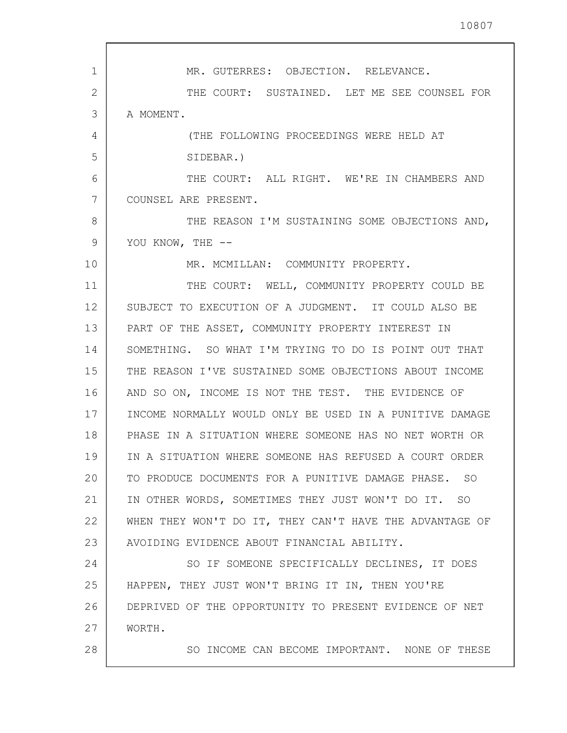1 2 3 4 5 6 7 8 9 10 11 12 13 14 15 16 17 18 19 20 21 22 23 24 25 26 27 28 MR. GUTERRES: OBJECTION. RELEVANCE. THE COURT: SUSTAINED. LET ME SEE COUNSEL FOR A MOMENT. (THE FOLLOWING PROCEEDINGS WERE HELD AT SIDEBAR.) THE COURT: ALL RIGHT. WE'RE IN CHAMBERS AND COUNSEL ARE PRESENT. THE REASON I'M SUSTAINING SOME OBJECTIONS AND, YOU KNOW, THE --MR. MCMILLAN: COMMUNITY PROPERTY. THE COURT: WELL, COMMUNITY PROPERTY COULD BE SUBJECT TO EXECUTION OF A JUDGMENT. IT COULD ALSO BE PART OF THE ASSET, COMMUNITY PROPERTY INTEREST IN SOMETHING. SO WHAT I'M TRYING TO DO IS POINT OUT THAT THE REASON I'VE SUSTAINED SOME OBJECTIONS ABOUT INCOME AND SO ON, INCOME IS NOT THE TEST. THE EVIDENCE OF INCOME NORMALLY WOULD ONLY BE USED IN A PUNITIVE DAMAGE PHASE IN A SITUATION WHERE SOMEONE HAS NO NET WORTH OR IN A SITUATION WHERE SOMEONE HAS REFUSED A COURT ORDER TO PRODUCE DOCUMENTS FOR A PUNITIVE DAMAGE PHASE. SO IN OTHER WORDS, SOMETIMES THEY JUST WON'T DO IT. SO WHEN THEY WON'T DO IT, THEY CAN'T HAVE THE ADVANTAGE OF AVOIDING EVIDENCE ABOUT FINANCIAL ABILITY. SO IF SOMEONE SPECIFICALLY DECLINES, IT DOES HAPPEN, THEY JUST WON'T BRING IT IN, THEN YOU'RE DEPRIVED OF THE OPPORTUNITY TO PRESENT EVIDENCE OF NET WORTH. SO INCOME CAN BECOME IMPORTANT. NONE OF THESE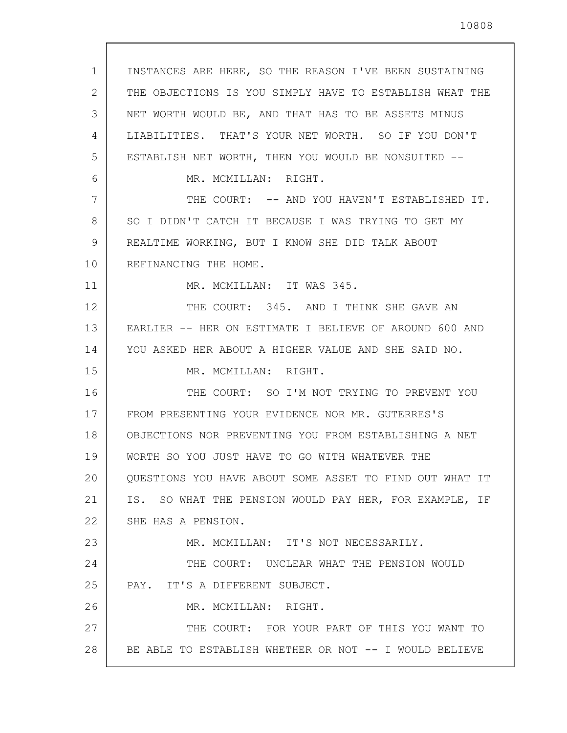| $\mathbf 1$ | INSTANCES ARE HERE, SO THE REASON I'VE BEEN SUSTAINING  |
|-------------|---------------------------------------------------------|
| 2           | THE OBJECTIONS IS YOU SIMPLY HAVE TO ESTABLISH WHAT THE |
| 3           | NET WORTH WOULD BE, AND THAT HAS TO BE ASSETS MINUS     |
| 4           | LIABILITIES. THAT'S YOUR NET WORTH. SO IF YOU DON'T     |
| 5           | ESTABLISH NET WORTH, THEN YOU WOULD BE NONSUITED --     |
| 6           | MR. MCMILLAN: RIGHT.                                    |
| 7           | THE COURT: -- AND YOU HAVEN'T ESTABLISHED IT.           |
| 8           | SO I DIDN'T CATCH IT BECAUSE I WAS TRYING TO GET MY     |
| 9           | REALTIME WORKING, BUT I KNOW SHE DID TALK ABOUT         |
| 10          | REFINANCING THE HOME.                                   |
| 11          | MR. MCMILLAN: IT WAS 345.                               |
| 12          | THE COURT: 345. AND I THINK SHE GAVE AN                 |
| 13          | EARLIER -- HER ON ESTIMATE I BELIEVE OF AROUND 600 AND  |
| 14          | YOU ASKED HER ABOUT A HIGHER VALUE AND SHE SAID NO.     |
| 15          | MR. MCMILLAN: RIGHT.                                    |
| 16          | THE COURT: SO I'M NOT TRYING TO PREVENT YOU             |
| 17          | FROM PRESENTING YOUR EVIDENCE NOR MR. GUTERRES'S        |
| 18          | OBJECTIONS NOR PREVENTING YOU FROM ESTABLISHING A NET   |
| 19          | WORTH SO YOU JUST HAVE TO GO WITH WHATEVER THE          |
| 20          | QUESTIONS YOU HAVE ABOUT SOME ASSET TO FIND OUT WHAT IT |
| 21          | IS. SO WHAT THE PENSION WOULD PAY HER, FOR EXAMPLE, IF  |
| 22          | SHE HAS A PENSION.                                      |
| 23          | MR. MCMILLAN: IT'S NOT NECESSARILY.                     |
| 24          | THE COURT: UNCLEAR WHAT THE PENSION WOULD               |
| 25          | PAY. IT'S A DIFFERENT SUBJECT.                          |
| 26          | MR. MCMILLAN: RIGHT.                                    |
| 27          | THE COURT: FOR YOUR PART OF THIS YOU WANT TO            |
| 28          | BE ABLE TO ESTABLISH WHETHER OR NOT -- I WOULD BELIEVE  |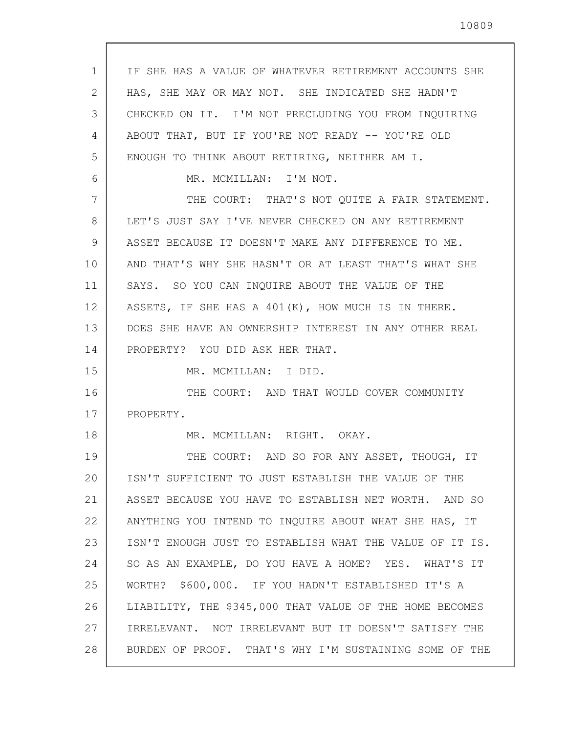1 2 3 4 5 6 7 8 9 10 11 12 13 14 15 16 17 18 19 20 21 22 23 24 25 26 27 28 IF SHE HAS A VALUE OF WHATEVER RETIREMENT ACCOUNTS SHE HAS, SHE MAY OR MAY NOT. SHE INDICATED SHE HADN'T CHECKED ON IT. I'M NOT PRECLUDING YOU FROM INQUIRING ABOUT THAT, BUT IF YOU'RE NOT READY -- YOU'RE OLD ENOUGH TO THINK ABOUT RETIRING, NEITHER AM I. MR. MCMILLAN: I'M NOT. THE COURT: THAT'S NOT QUITE A FAIR STATEMENT. LET'S JUST SAY I'VE NEVER CHECKED ON ANY RETIREMENT ASSET BECAUSE IT DOESN'T MAKE ANY DIFFERENCE TO ME. AND THAT'S WHY SHE HASN'T OR AT LEAST THAT'S WHAT SHE SAYS. SO YOU CAN INQUIRE ABOUT THE VALUE OF THE ASSETS, IF SHE HAS A 401(K), HOW MUCH IS IN THERE. DOES SHE HAVE AN OWNERSHIP INTEREST IN ANY OTHER REAL PROPERTY? YOU DID ASK HER THAT. MR. MCMILLAN: I DID. THE COURT: AND THAT WOULD COVER COMMUNITY PROPERTY. MR. MCMILLAN: RIGHT. OKAY. THE COURT: AND SO FOR ANY ASSET, THOUGH, IT ISN'T SUFFICIENT TO JUST ESTABLISH THE VALUE OF THE ASSET BECAUSE YOU HAVE TO ESTABLISH NET WORTH. AND SO ANYTHING YOU INTEND TO INQUIRE ABOUT WHAT SHE HAS, IT ISN'T ENOUGH JUST TO ESTABLISH WHAT THE VALUE OF IT IS. SO AS AN EXAMPLE, DO YOU HAVE A HOME? YES. WHAT'S IT WORTH? \$600,000. IF YOU HADN'T ESTABLISHED IT'S A LIABILITY, THE \$345,000 THAT VALUE OF THE HOME BECOMES IRRELEVANT. NOT IRRELEVANT BUT IT DOESN'T SATISFY THE BURDEN OF PROOF. THAT'S WHY I'M SUSTAINING SOME OF THE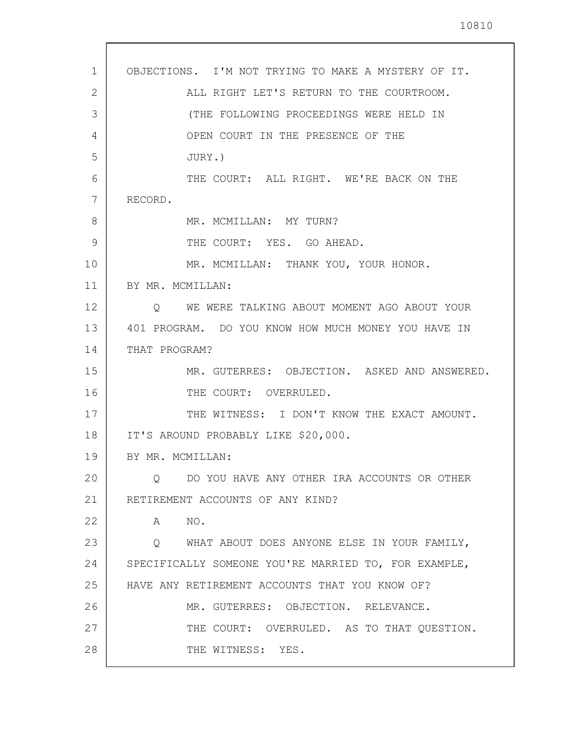| OBJECTIONS. I'M NOT TRYING TO MAKE A MYSTERY OF IT.<br>$\mathbf{1}$<br>2<br>ALL RIGHT LET'S RETURN TO THE COURTROOM.<br>3<br>(THE FOLLOWING PROCEEDINGS WERE HELD IN<br>OPEN COURT IN THE PRESENCE OF THE<br>4<br>5<br>JURY.)<br>THE COURT: ALL RIGHT. WE'RE BACK ON THE<br>6<br>7<br>RECORD.<br>8<br>MR. MCMILLAN: MY TURN?<br>9<br>THE COURT: YES. GO AHEAD.<br>10<br>MR. MCMILLAN: THANK YOU, YOUR HONOR.<br>11<br>BY MR. MCMILLAN:<br>12<br>O WE WERE TALKING ABOUT MOMENT AGO ABOUT YOUR<br>13<br>401 PROGRAM. DO YOU KNOW HOW MUCH MONEY YOU HAVE IN<br>14<br>THAT PROGRAM?<br>15<br>16<br>THE COURT: OVERRULED.<br>17<br>THE WITNESS: I DON'T KNOW THE EXACT AMOUNT.<br>18<br>IT'S AROUND PROBABLY LIKE \$20,000.<br>19<br>BY MR. MCMILLAN:<br>20<br>DO YOU HAVE ANY OTHER IRA ACCOUNTS OR OTHER<br>$\circ$<br>21<br>RETIREMENT ACCOUNTS OF ANY KIND?<br>22<br>NO.<br>A<br>23<br>Q WHAT ABOUT DOES ANYONE ELSE IN YOUR FAMILY,<br>24<br>SPECIFICALLY SOMEONE YOU'RE MARRIED TO, FOR EXAMPLE,<br>25<br>HAVE ANY RETIREMENT ACCOUNTS THAT YOU KNOW OF?<br>26<br>MR. GUTERRES: OBJECTION. RELEVANCE.<br>27<br>THE COURT: OVERRULED. AS TO THAT QUESTION.<br>28<br>THE WITNESS: YES. |                                              |
|-----------------------------------------------------------------------------------------------------------------------------------------------------------------------------------------------------------------------------------------------------------------------------------------------------------------------------------------------------------------------------------------------------------------------------------------------------------------------------------------------------------------------------------------------------------------------------------------------------------------------------------------------------------------------------------------------------------------------------------------------------------------------------------------------------------------------------------------------------------------------------------------------------------------------------------------------------------------------------------------------------------------------------------------------------------------------------------------------------------------------------------------------------------------------------------------|----------------------------------------------|
|                                                                                                                                                                                                                                                                                                                                                                                                                                                                                                                                                                                                                                                                                                                                                                                                                                                                                                                                                                                                                                                                                                                                                                                         |                                              |
|                                                                                                                                                                                                                                                                                                                                                                                                                                                                                                                                                                                                                                                                                                                                                                                                                                                                                                                                                                                                                                                                                                                                                                                         |                                              |
|                                                                                                                                                                                                                                                                                                                                                                                                                                                                                                                                                                                                                                                                                                                                                                                                                                                                                                                                                                                                                                                                                                                                                                                         |                                              |
|                                                                                                                                                                                                                                                                                                                                                                                                                                                                                                                                                                                                                                                                                                                                                                                                                                                                                                                                                                                                                                                                                                                                                                                         |                                              |
|                                                                                                                                                                                                                                                                                                                                                                                                                                                                                                                                                                                                                                                                                                                                                                                                                                                                                                                                                                                                                                                                                                                                                                                         |                                              |
|                                                                                                                                                                                                                                                                                                                                                                                                                                                                                                                                                                                                                                                                                                                                                                                                                                                                                                                                                                                                                                                                                                                                                                                         |                                              |
|                                                                                                                                                                                                                                                                                                                                                                                                                                                                                                                                                                                                                                                                                                                                                                                                                                                                                                                                                                                                                                                                                                                                                                                         |                                              |
|                                                                                                                                                                                                                                                                                                                                                                                                                                                                                                                                                                                                                                                                                                                                                                                                                                                                                                                                                                                                                                                                                                                                                                                         |                                              |
|                                                                                                                                                                                                                                                                                                                                                                                                                                                                                                                                                                                                                                                                                                                                                                                                                                                                                                                                                                                                                                                                                                                                                                                         |                                              |
|                                                                                                                                                                                                                                                                                                                                                                                                                                                                                                                                                                                                                                                                                                                                                                                                                                                                                                                                                                                                                                                                                                                                                                                         |                                              |
|                                                                                                                                                                                                                                                                                                                                                                                                                                                                                                                                                                                                                                                                                                                                                                                                                                                                                                                                                                                                                                                                                                                                                                                         |                                              |
|                                                                                                                                                                                                                                                                                                                                                                                                                                                                                                                                                                                                                                                                                                                                                                                                                                                                                                                                                                                                                                                                                                                                                                                         |                                              |
|                                                                                                                                                                                                                                                                                                                                                                                                                                                                                                                                                                                                                                                                                                                                                                                                                                                                                                                                                                                                                                                                                                                                                                                         |                                              |
|                                                                                                                                                                                                                                                                                                                                                                                                                                                                                                                                                                                                                                                                                                                                                                                                                                                                                                                                                                                                                                                                                                                                                                                         |                                              |
|                                                                                                                                                                                                                                                                                                                                                                                                                                                                                                                                                                                                                                                                                                                                                                                                                                                                                                                                                                                                                                                                                                                                                                                         | MR. GUTERRES: OBJECTION. ASKED AND ANSWERED. |
|                                                                                                                                                                                                                                                                                                                                                                                                                                                                                                                                                                                                                                                                                                                                                                                                                                                                                                                                                                                                                                                                                                                                                                                         |                                              |
|                                                                                                                                                                                                                                                                                                                                                                                                                                                                                                                                                                                                                                                                                                                                                                                                                                                                                                                                                                                                                                                                                                                                                                                         |                                              |
|                                                                                                                                                                                                                                                                                                                                                                                                                                                                                                                                                                                                                                                                                                                                                                                                                                                                                                                                                                                                                                                                                                                                                                                         |                                              |
|                                                                                                                                                                                                                                                                                                                                                                                                                                                                                                                                                                                                                                                                                                                                                                                                                                                                                                                                                                                                                                                                                                                                                                                         |                                              |
|                                                                                                                                                                                                                                                                                                                                                                                                                                                                                                                                                                                                                                                                                                                                                                                                                                                                                                                                                                                                                                                                                                                                                                                         |                                              |
|                                                                                                                                                                                                                                                                                                                                                                                                                                                                                                                                                                                                                                                                                                                                                                                                                                                                                                                                                                                                                                                                                                                                                                                         |                                              |
|                                                                                                                                                                                                                                                                                                                                                                                                                                                                                                                                                                                                                                                                                                                                                                                                                                                                                                                                                                                                                                                                                                                                                                                         |                                              |
|                                                                                                                                                                                                                                                                                                                                                                                                                                                                                                                                                                                                                                                                                                                                                                                                                                                                                                                                                                                                                                                                                                                                                                                         |                                              |
|                                                                                                                                                                                                                                                                                                                                                                                                                                                                                                                                                                                                                                                                                                                                                                                                                                                                                                                                                                                                                                                                                                                                                                                         |                                              |
|                                                                                                                                                                                                                                                                                                                                                                                                                                                                                                                                                                                                                                                                                                                                                                                                                                                                                                                                                                                                                                                                                                                                                                                         |                                              |
|                                                                                                                                                                                                                                                                                                                                                                                                                                                                                                                                                                                                                                                                                                                                                                                                                                                                                                                                                                                                                                                                                                                                                                                         |                                              |
|                                                                                                                                                                                                                                                                                                                                                                                                                                                                                                                                                                                                                                                                                                                                                                                                                                                                                                                                                                                                                                                                                                                                                                                         |                                              |
|                                                                                                                                                                                                                                                                                                                                                                                                                                                                                                                                                                                                                                                                                                                                                                                                                                                                                                                                                                                                                                                                                                                                                                                         |                                              |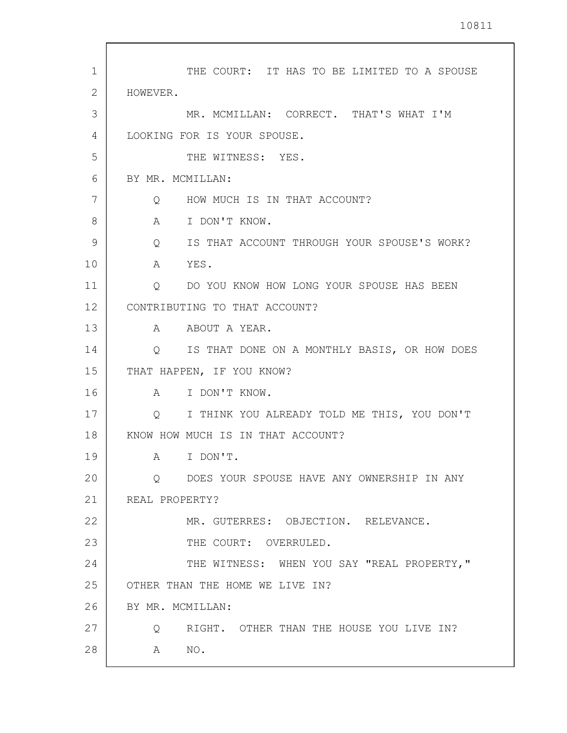| $\mathbf{1}$ | THE COURT: IT HAS TO BE LIMITED TO A SPOUSE    |
|--------------|------------------------------------------------|
| 2            | HOWEVER.                                       |
| 3            | MR. MCMILLAN: CORRECT. THAT'S WHAT I'M         |
| 4            | LOOKING FOR IS YOUR SPOUSE.                    |
| 5            | THE WITNESS: YES.                              |
| 6            | BY MR. MCMILLAN:                               |
| 7            | Q HOW MUCH IS IN THAT ACCOUNT?                 |
| 8            | A I DON'T KNOW.                                |
| 9            | Q IS THAT ACCOUNT THROUGH YOUR SPOUSE'S WORK?  |
| 10           | A YES.                                         |
| 11           | Q DO YOU KNOW HOW LONG YOUR SPOUSE HAS BEEN    |
| 12           | CONTRIBUTING TO THAT ACCOUNT?                  |
| 13           | A ABOUT A YEAR.                                |
| 14           | Q IS THAT DONE ON A MONTHLY BASIS, OR HOW DOES |
| 15           | THAT HAPPEN, IF YOU KNOW?                      |
| 16           | A I DON'T KNOW.                                |
| 17           | Q I THINK YOU ALREADY TOLD ME THIS, YOU DON'T  |
| 18           | KNOW HOW MUCH IS IN THAT ACCOUNT?              |
| 19           | A I DON'T.                                     |
| 20           | O DOES YOUR SPOUSE HAVE ANY OWNERSHIP IN ANY   |
| 21           | REAL PROPERTY?                                 |
| 22           | MR. GUTERRES: OBJECTION. RELEVANCE.            |
| 23           | THE COURT: OVERRULED.                          |
| 24           | THE WITNESS: WHEN YOU SAY "REAL PROPERTY,"     |
| 25           | OTHER THAN THE HOME WE LIVE IN?                |
| 26           | BY MR. MCMILLAN:                               |
| 27           | Q<br>RIGHT. OTHER THAN THE HOUSE YOU LIVE IN?  |
| 28           | NO <sub>z</sub><br>A                           |
|              |                                                |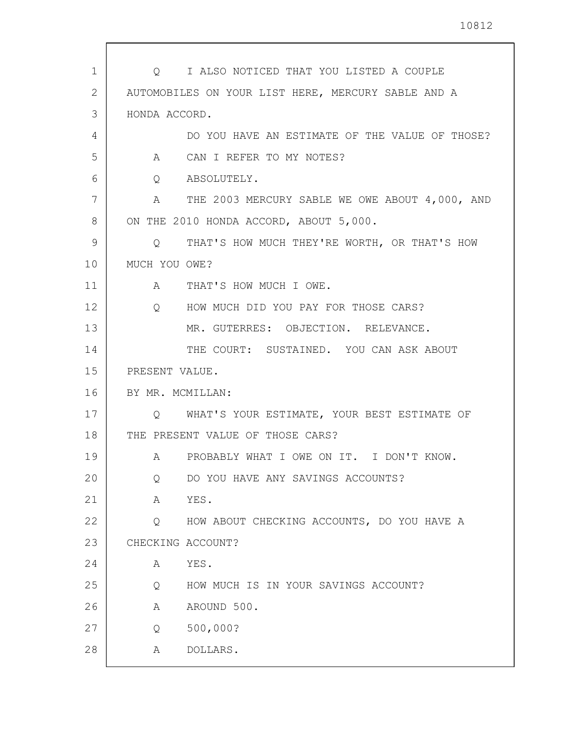| 1  | I ALSO NOTICED THAT YOU LISTED A COUPLE<br>$\circ$ $\circ$     |
|----|----------------------------------------------------------------|
| 2  | AUTOMOBILES ON YOUR LIST HERE, MERCURY SABLE AND A             |
| 3  | HONDA ACCORD.                                                  |
| 4  | DO YOU HAVE AN ESTIMATE OF THE VALUE OF THOSE?                 |
| 5  | CAN I REFER TO MY NOTES?<br>$A \quad \alpha$                   |
| 6  | ABSOLUTELY.<br>$Q \qquad \qquad$                               |
| 7  | THE 2003 MERCURY SABLE WE OWE ABOUT 4,000, AND<br>$\mathbf{A}$ |
| 8  | ON THE 2010 HONDA ACCORD, ABOUT 5,000.                         |
| 9  | THAT'S HOW MUCH THEY'RE WORTH, OR THAT'S HOW<br>Q              |
| 10 | MUCH YOU OWE?                                                  |
| 11 | A THAT'S HOW MUCH I OWE.                                       |
| 12 | Q HOW MUCH DID YOU PAY FOR THOSE CARS?                         |
| 13 | MR. GUTERRES: OBJECTION. RELEVANCE.                            |
| 14 | THE COURT: SUSTAINED. YOU CAN ASK ABOUT                        |
| 15 | PRESENT VALUE.                                                 |
| 16 | BY MR. MCMILLAN:                                               |
| 17 | Q WHAT'S YOUR ESTIMATE, YOUR BEST ESTIMATE OF                  |
| 18 | THE PRESENT VALUE OF THOSE CARS?                               |
| 19 | A PROBABLY WHAT I OWE ON IT. I DON'T KNOW.                     |
| 20 | DO YOU HAVE ANY SAVINGS ACCOUNTS?<br>Q                         |
| 21 | YES.<br>Α                                                      |
| 22 | HOW ABOUT CHECKING ACCOUNTS, DO YOU HAVE A<br>Q                |
| 23 | CHECKING ACCOUNT?                                              |
| 24 | YES.<br>Α                                                      |
| 25 | HOW MUCH IS IN YOUR SAVINGS ACCOUNT?<br>Q                      |
| 26 | AROUND 500.<br>Α                                               |
| 27 | 500,000?<br>Q                                                  |
| 28 | DOLLARS.<br>Α                                                  |
|    |                                                                |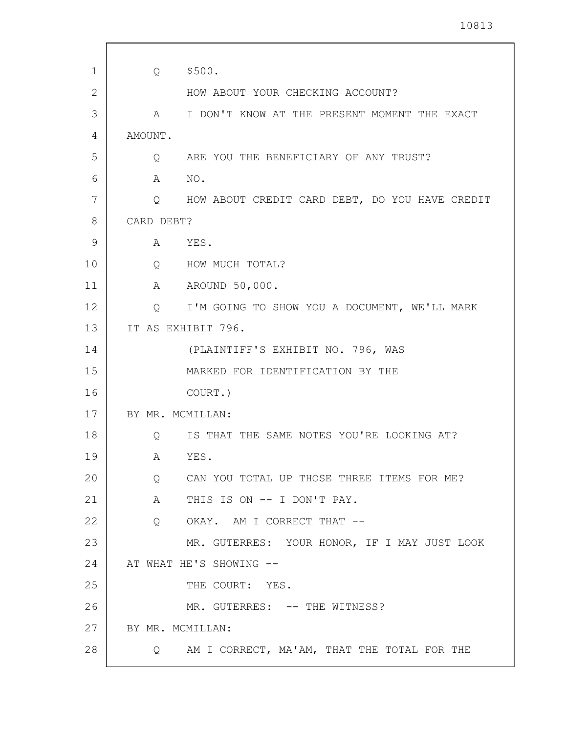| 1  | Q                 | \$500.                                           |
|----|-------------------|--------------------------------------------------|
| 2  |                   | HOW ABOUT YOUR CHECKING ACCOUNT?                 |
| 3  | A                 | I DON'T KNOW AT THE PRESENT MOMENT THE EXACT     |
| 4  | AMOUNT.           |                                                  |
| 5  | Q                 | ARE YOU THE BENEFICIARY OF ANY TRUST?            |
| 6  | A                 | NO.                                              |
| 7  |                   | Q HOW ABOUT CREDIT CARD DEBT, DO YOU HAVE CREDIT |
| 8  | CARD DEBT?        |                                                  |
| 9  | A                 | YES.                                             |
| 10 | $Q \qquad \qquad$ | HOW MUCH TOTAL?                                  |
| 11 | $\mathbb A$       | AROUND 50,000.                                   |
| 12 | Q                 | I'M GOING TO SHOW YOU A DOCUMENT, WE'LL MARK     |
| 13 |                   | IT AS EXHIBIT 796.                               |
| 14 |                   | (PLAINTIFF'S EXHIBIT NO. 796, WAS                |
| 15 |                   | MARKED FOR IDENTIFICATION BY THE                 |
| 16 |                   | COURT.)                                          |
| 17 | BY MR. MCMILLAN:  |                                                  |
| 18 | Q                 | IS THAT THE SAME NOTES YOU'RE LOOKING AT?        |
| 19 | A                 | YES.                                             |
| 20 | Q                 | CAN YOU TOTAL UP THOSE THREE ITEMS FOR ME?       |
| 21 | A                 | THIS IS ON -- I DON'T PAY.                       |
| 22 | Q                 | OKAY. AM I CORRECT THAT --                       |
| 23 |                   | MR. GUTERRES: YOUR HONOR, IF I MAY JUST LOOK     |
| 24 |                   | AT WHAT HE'S SHOWING --                          |
| 25 |                   | THE COURT: YES.                                  |
| 26 |                   | MR. GUTERRES: -- THE WITNESS?                    |
| 27 | BY MR. MCMILLAN:  |                                                  |
| 28 |                   | Q AM I CORRECT, MA'AM, THAT THE TOTAL FOR THE    |
|    |                   |                                                  |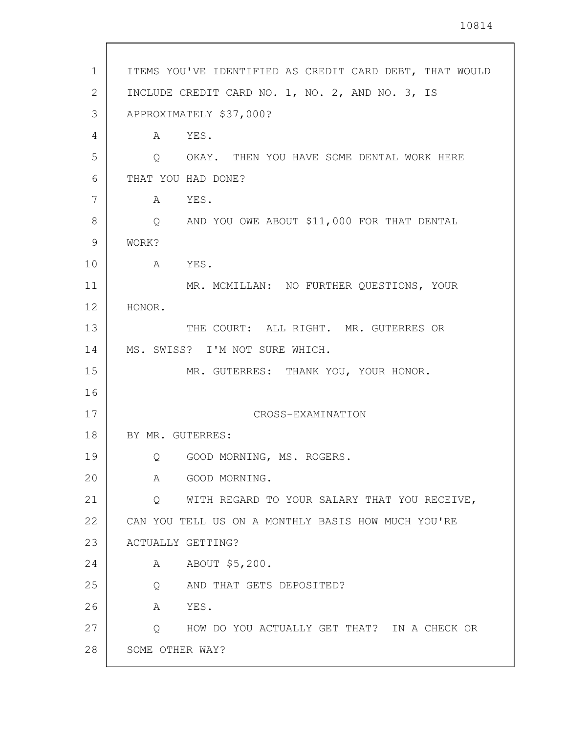| $\mathbf 1$ | ITEMS YOU'VE IDENTIFIED AS CREDIT CARD DEBT, THAT WOULD |
|-------------|---------------------------------------------------------|
| 2           | INCLUDE CREDIT CARD NO. 1, NO. 2, AND NO. 3, IS         |
| 3           | APPROXIMATELY \$37,000?                                 |
| 4           | A YES.                                                  |
| 5           | O OKAY. THEN YOU HAVE SOME DENTAL WORK HERE             |
| 6           | THAT YOU HAD DONE?                                      |
| 7           | A YES.                                                  |
| 8           | AND YOU OWE ABOUT \$11,000 FOR THAT DENTAL<br>Q         |
| 9           | WORK?                                                   |
| 10          | A YES.                                                  |
| 11          | MR. MCMILLAN: NO FURTHER QUESTIONS, YOUR                |
| 12          | HONOR.                                                  |
| 13          | THE COURT: ALL RIGHT. MR. GUTERRES OR                   |
| 14          | MS. SWISS? I'M NOT SURE WHICH.                          |
| 15          | MR. GUTERRES: THANK YOU, YOUR HONOR.                    |
| 16          |                                                         |
| 17          | CROSS-EXAMINATION                                       |
| 18          | BY MR. GUTERRES:                                        |
| 19          | Q GOOD MORNING, MS. ROGERS.                             |
| 20          | GOOD MORNING.<br>Α                                      |
| 21          | WITH REGARD TO YOUR SALARY THAT YOU RECEIVE,<br>Q       |
| 22          | CAN YOU TELL US ON A MONTHLY BASIS HOW MUCH YOU'RE      |
| 23          | ACTUALLY GETTING?                                       |
| 24          | ABOUT \$5,200.<br>A                                     |
| 25          | AND THAT GETS DEPOSITED?<br>Q                           |
| 26          | YES.<br>A                                               |
| 27          | HOW DO YOU ACTUALLY GET THAT? IN A CHECK OR<br>$\circ$  |
| 28          | SOME OTHER WAY?                                         |

 $\sqrt{ }$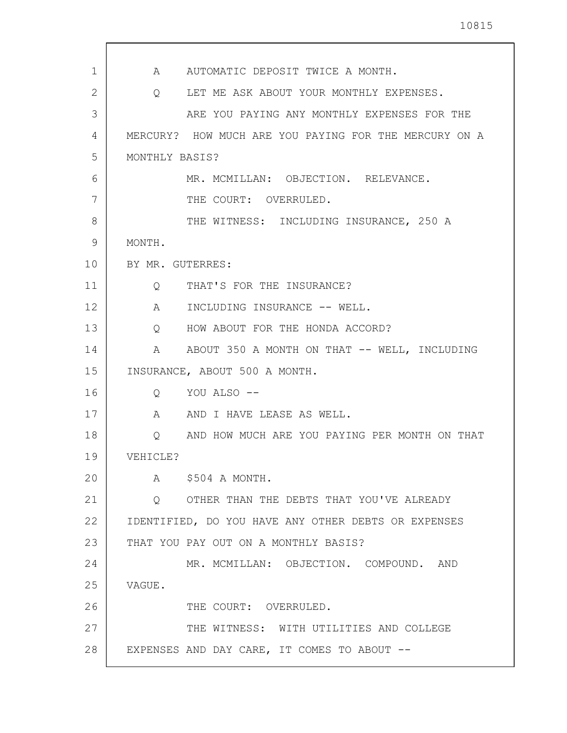| 1  | A AUTOMATIC DEPOSIT TWICE A MONTH.                               |
|----|------------------------------------------------------------------|
| 2  | Q LET ME ASK ABOUT YOUR MONTHLY EXPENSES.                        |
| 3  | ARE YOU PAYING ANY MONTHLY EXPENSES FOR THE                      |
| 4  | MERCURY? HOW MUCH ARE YOU PAYING FOR THE MERCURY ON A            |
| 5  | MONTHLY BASIS?                                                   |
| 6  | MR. MCMILLAN: OBJECTION. RELEVANCE.                              |
| 7  | THE COURT: OVERRULED.                                            |
| 8  | THE WITNESS: INCLUDING INSURANCE, 250 A                          |
| 9  | MONTH.                                                           |
| 10 | BY MR. GUTERRES:                                                 |
| 11 | Q THAT'S FOR THE INSURANCE?                                      |
| 12 | A INCLUDING INSURANCE -- WELL.                                   |
| 13 | Q HOW ABOUT FOR THE HONDA ACCORD?                                |
| 14 | ABOUT 350 A MONTH ON THAT -- WELL, INCLUDING<br>$A \quad \alpha$ |
| 15 | INSURANCE, ABOUT 500 A MONTH.                                    |
| 16 | Q YOU ALSO --                                                    |
| 17 | A AND I HAVE LEASE AS WELL.                                      |
| 18 | Q AND HOW MUCH ARE YOU PAYING PER MONTH ON THAT                  |
| 19 | VEHICLE?                                                         |
| 20 | A \$504 A MONTH.                                                 |
| 21 | O OTHER THAN THE DEBTS THAT YOU'VE ALREADY                       |
| 22 | IDENTIFIED, DO YOU HAVE ANY OTHER DEBTS OR EXPENSES              |
| 23 | THAT YOU PAY OUT ON A MONTHLY BASIS?                             |
| 24 | MR. MCMILLAN: OBJECTION. COMPOUND. AND                           |
| 25 | VAGUE.                                                           |
| 26 | THE COURT: OVERRULED.                                            |
| 27 | THE WITNESS: WITH UTILITIES AND COLLEGE                          |
| 28 | EXPENSES AND DAY CARE, IT COMES TO ABOUT --                      |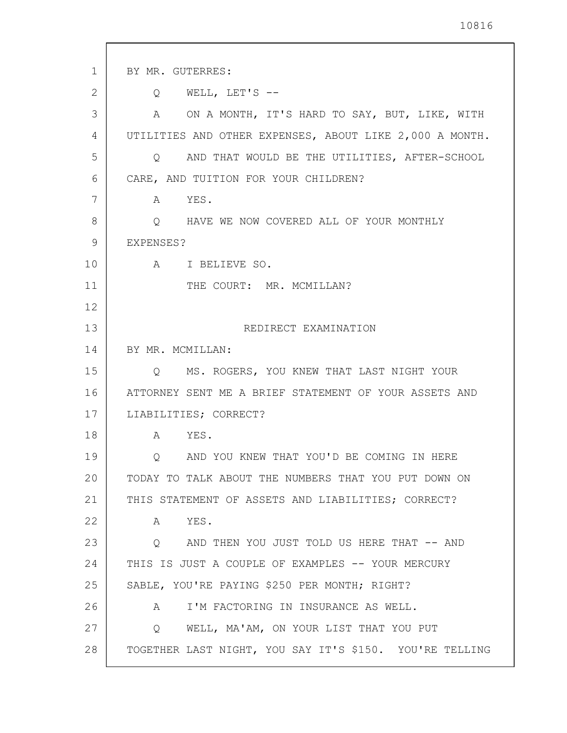| 1  | BY MR. GUTERRES:                                               |
|----|----------------------------------------------------------------|
| 2  | WELL, LET'S $--$<br>$\circ$                                    |
| 3  | ON A MONTH, IT'S HARD TO SAY, BUT, LIKE, WITH<br>A             |
| 4  | UTILITIES AND OTHER EXPENSES, ABOUT LIKE 2,000 A MONTH.        |
| 5  | Q AND THAT WOULD BE THE UTILITIES, AFTER-SCHOOL                |
| 6  | CARE, AND TUITION FOR YOUR CHILDREN?                           |
| 7  | A YES.                                                         |
| 8  | O HAVE WE NOW COVERED ALL OF YOUR MONTHLY                      |
| 9  | EXPENSES?                                                      |
| 10 | A I BELIEVE SO.                                                |
| 11 | THE COURT: MR. MCMILLAN?                                       |
| 12 |                                                                |
| 13 | REDIRECT EXAMINATION                                           |
| 14 | BY MR. MCMILLAN:                                               |
| 15 | MS. ROGERS, YOU KNEW THAT LAST NIGHT YOUR<br>$Q \qquad \qquad$ |
| 16 | ATTORNEY SENT ME A BRIEF STATEMENT OF YOUR ASSETS AND          |
| 17 | LIABILITIES; CORRECT?                                          |
| 18 | YES.<br>A                                                      |
| 19 | AND YOU KNEW THAT YOU'D BE COMING IN HERE                      |
| 20 | TODAY TO TALK ABOUT THE NUMBERS THAT YOU PUT DOWN ON           |
| 21 | THIS STATEMENT OF ASSETS AND LIABILITIES; CORRECT?             |
| 22 | YES.<br>A                                                      |
| 23 | O AND THEN YOU JUST TOLD US HERE THAT -- AND                   |
| 24 | THIS IS JUST A COUPLE OF EXAMPLES -- YOUR MERCURY              |
| 25 | SABLE, YOU'RE PAYING \$250 PER MONTH; RIGHT?                   |
| 26 | I'M FACTORING IN INSURANCE AS WELL.<br>$\mathsf{A}$            |
| 27 | WELL, MA'AM, ON YOUR LIST THAT YOU PUT<br>$\circ$              |
| 28 | TOGETHER LAST NIGHT, YOU SAY IT'S \$150. YOU'RE TELLING        |
|    |                                                                |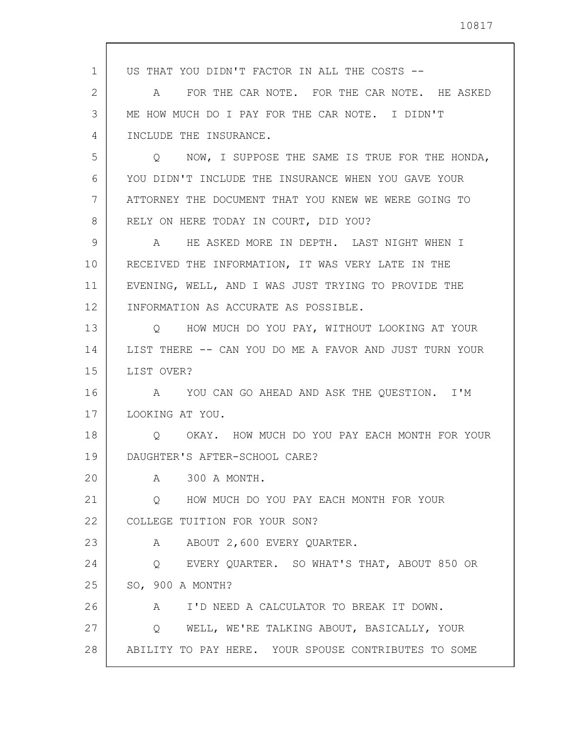| 1  | US THAT YOU DIDN'T FACTOR IN ALL THE COSTS --            |
|----|----------------------------------------------------------|
| 2  | FOR THE CAR NOTE. FOR THE CAR NOTE. HE ASKED<br>A        |
| 3  | ME HOW MUCH DO I PAY FOR THE CAR NOTE. I DIDN'T          |
| 4  | INCLUDE THE INSURANCE.                                   |
| 5  | NOW, I SUPPOSE THE SAME IS TRUE FOR THE HONDA,<br>O.     |
| 6  | YOU DIDN'T INCLUDE THE INSURANCE WHEN YOU GAVE YOUR      |
| 7  | ATTORNEY THE DOCUMENT THAT YOU KNEW WE WERE GOING TO     |
| 8  | RELY ON HERE TODAY IN COURT, DID YOU?                    |
| 9  | HE ASKED MORE IN DEPTH. LAST NIGHT WHEN I<br>$\mathbb A$ |
| 10 | RECEIVED THE INFORMATION, IT WAS VERY LATE IN THE        |
| 11 | EVENING, WELL, AND I WAS JUST TRYING TO PROVIDE THE      |
| 12 | INFORMATION AS ACCURATE AS POSSIBLE.                     |
| 13 | Q HOW MUCH DO YOU PAY, WITHOUT LOOKING AT YOUR           |
| 14 | LIST THERE -- CAN YOU DO ME A FAVOR AND JUST TURN YOUR   |
| 15 | LIST OVER?                                               |
| 16 | A YOU CAN GO AHEAD AND ASK THE QUESTION. I'M             |
| 17 | LOOKING AT YOU.                                          |
| 18 | OKAY. HOW MUCH DO YOU PAY EACH MONTH FOR YOUR<br>Q       |
| 19 | DAUGHTER'S AFTER-SCHOOL CARE?                            |
| 20 | 300 A MONTH.<br>$\mathbb A$                              |
| 21 | HOW MUCH DO YOU PAY EACH MONTH FOR YOUR<br>Q             |
| 22 | COLLEGE TUITION FOR YOUR SON?                            |
| 23 | ABOUT 2,600 EVERY QUARTER.<br>$\mathbb A$                |
| 24 | Q EVERY QUARTER. SO WHAT'S THAT, ABOUT 850 OR            |
| 25 | SO, 900 A MONTH?                                         |
| 26 | A I'D NEED A CALCULATOR TO BREAK IT DOWN.                |
| 27 | Q WELL, WE'RE TALKING ABOUT, BASICALLY, YOUR             |
| 28 | ABILITY TO PAY HERE. YOUR SPOUSE CONTRIBUTES TO SOME     |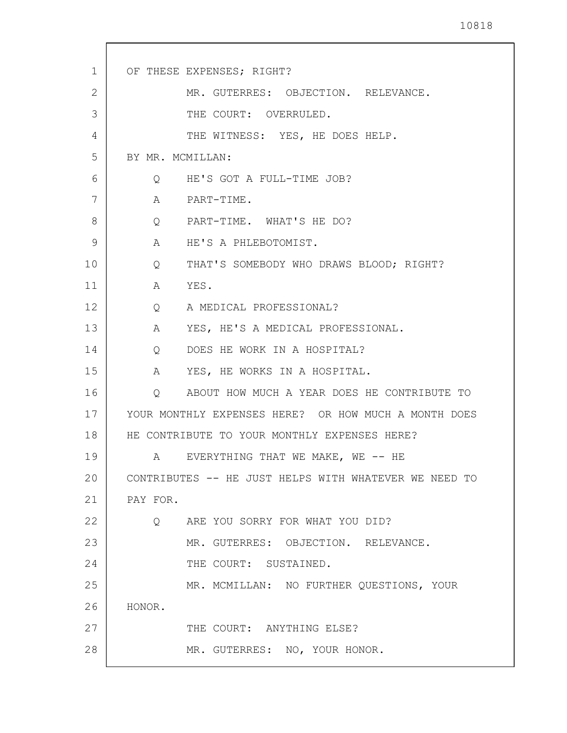| 1  | OF THESE EXPENSES; RIGHT?                                    |
|----|--------------------------------------------------------------|
| 2  | MR. GUTERRES: OBJECTION. RELEVANCE.                          |
| 3  | THE COURT: OVERRULED.                                        |
| 4  | THE WITNESS: YES, HE DOES HELP.                              |
| 5  | BY MR. MCMILLAN:                                             |
| 6  | Q HE'S GOT A FULL-TIME JOB?                                  |
| 7  | A PART-TIME.                                                 |
| 8  | Q PART-TIME. WHAT'S HE DO?                                   |
| 9  | A HE'S A PHLEBOTOMIST.                                       |
| 10 | THAT'S SOMEBODY WHO DRAWS BLOOD; RIGHT?<br>$Q \qquad \qquad$ |
| 11 | A YES.                                                       |
| 12 | $Q \qquad \qquad$<br>A MEDICAL PROFESSIONAL?                 |
| 13 | YES, HE'S A MEDICAL PROFESSIONAL.<br>A                       |
| 14 | DOES HE WORK IN A HOSPITAL?<br>$Q \qquad \qquad$             |
| 15 | A YES, HE WORKS IN A HOSPITAL.                               |
| 16 | Q ABOUT HOW MUCH A YEAR DOES HE CONTRIBUTE TO                |
| 17 | YOUR MONTHLY EXPENSES HERE? OR HOW MUCH A MONTH DOES         |
| 18 | HE CONTRIBUTE TO YOUR MONTHLY EXPENSES HERE?                 |
| 19 | EVERYTHING THAT WE MAKE, WE -- HE<br>Α                       |
| 20 | CONTRIBUTES -- HE JUST HELPS WITH WHATEVER WE NEED TO        |
| 21 | PAY FOR.                                                     |
| 22 | Q ARE YOU SORRY FOR WHAT YOU DID?                            |
| 23 | MR. GUTERRES: OBJECTION. RELEVANCE.                          |
| 24 | THE COURT: SUSTAINED.                                        |
| 25 | MR. MCMILLAN: NO FURTHER QUESTIONS, YOUR                     |
| 26 | HONOR.                                                       |
| 27 | THE COURT: ANYTHING ELSE?                                    |
| 28 | MR. GUTERRES: NO, YOUR HONOR.                                |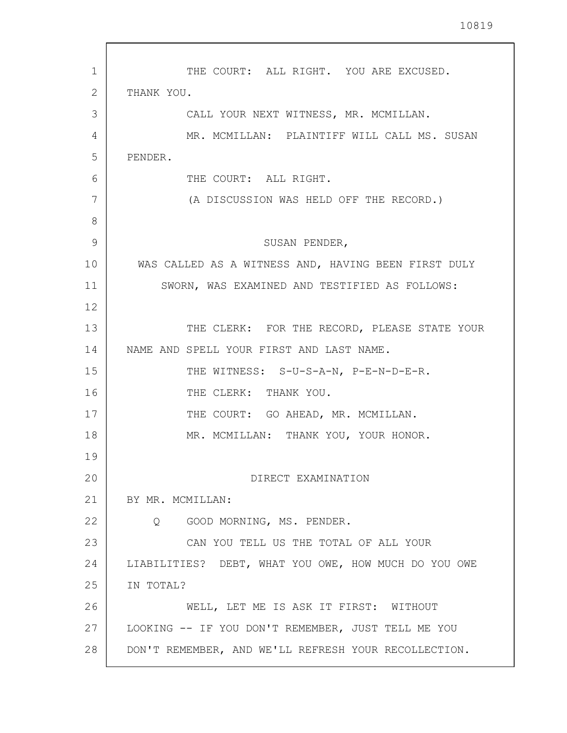1 2 3 4 5 6 7 8 9 10 11 12 13 14 15 16 17 18 19 20 21 22 23 24 25 26 27 28 THE COURT: ALL RIGHT. YOU ARE EXCUSED. THANK YOU. CALL YOUR NEXT WITNESS, MR. MCMILLAN. MR. MCMILLAN: PLAINTIFF WILL CALL MS. SUSAN PENDER. THE COURT: ALL RIGHT. (A DISCUSSION WAS HELD OFF THE RECORD.) SUSAN PENDER, WAS CALLED AS A WITNESS AND, HAVING BEEN FIRST DULY SWORN, WAS EXAMINED AND TESTIFIED AS FOLLOWS: THE CLERK: FOR THE RECORD, PLEASE STATE YOUR NAME AND SPELL YOUR FIRST AND LAST NAME. THE WITNESS: S-U-S-A-N, P-E-N-D-E-R. THE CLERK: THANK YOU. THE COURT: GO AHEAD, MR. MCMILLAN. MR. MCMILLAN: THANK YOU, YOUR HONOR. DIRECT EXAMINATION BY MR. MCMILLAN: Q GOOD MORNING, MS. PENDER. CAN YOU TELL US THE TOTAL OF ALL YOUR LIABILITIES? DEBT, WHAT YOU OWE, HOW MUCH DO YOU OWE IN TOTAL? WELL, LET ME IS ASK IT FIRST: WITHOUT LOOKING -- IF YOU DON'T REMEMBER, JUST TELL ME YOU DON'T REMEMBER, AND WE'LL REFRESH YOUR RECOLLECTION.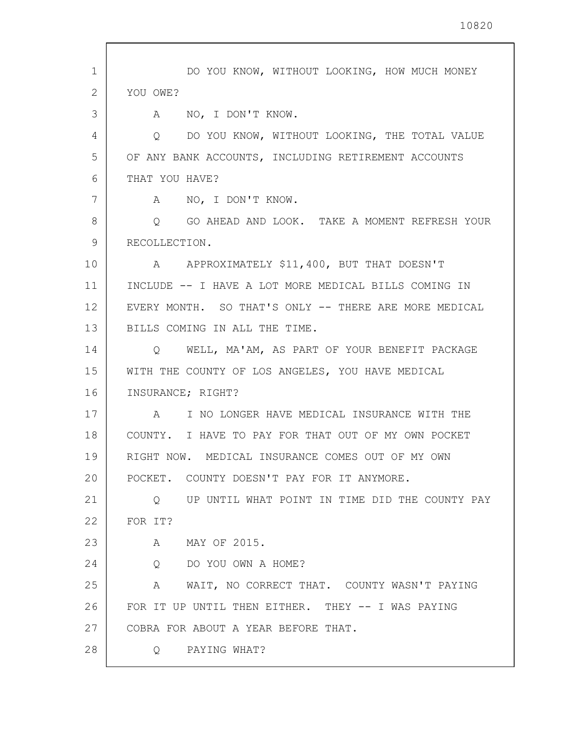| 1  | DO YOU KNOW, WITHOUT LOOKING, HOW MUCH MONEY                      |
|----|-------------------------------------------------------------------|
| 2  | YOU OWE?                                                          |
| 3  | NO, I DON'T KNOW.<br>A                                            |
| 4  | DO YOU KNOW, WITHOUT LOOKING, THE TOTAL VALUE<br>Q                |
| 5  | OF ANY BANK ACCOUNTS, INCLUDING RETIREMENT ACCOUNTS               |
| 6  | THAT YOU HAVE?                                                    |
| 7  | NO, I DON'T KNOW.<br>A                                            |
| 8  | GO AHEAD AND LOOK. TAKE A MOMENT REFRESH YOUR<br>Q                |
| 9  | RECOLLECTION.                                                     |
| 10 | A APPROXIMATELY \$11,400, BUT THAT DOESN'T                        |
| 11 | INCLUDE -- I HAVE A LOT MORE MEDICAL BILLS COMING IN              |
| 12 | EVERY MONTH. SO THAT'S ONLY -- THERE ARE MORE MEDICAL             |
| 13 | BILLS COMING IN ALL THE TIME.                                     |
| 14 | WELL, MA'AM, AS PART OF YOUR BENEFIT PACKAGE<br>$Q \qquad \qquad$ |
| 15 | WITH THE COUNTY OF LOS ANGELES, YOU HAVE MEDICAL                  |
| 16 | INSURANCE; RIGHT?                                                 |
| 17 | I NO LONGER HAVE MEDICAL INSURANCE WITH THE<br>A                  |
| 18 | COUNTY. I HAVE TO PAY FOR THAT OUT OF MY OWN POCKET               |
| 19 | RIGHT NOW. MEDICAL INSURANCE COMES OUT OF MY OWN                  |
| 20 | POCKET. COUNTY DOESN'T PAY FOR IT ANYMORE.                        |
| 21 | UP UNTIL WHAT POINT IN TIME DID THE COUNTY PAY<br>Q               |
| 22 | FOR IT?                                                           |
| 23 | MAY OF 2015.<br>A                                                 |
| 24 | DO YOU OWN A HOME?<br>Q                                           |
| 25 | A WAIT, NO CORRECT THAT. COUNTY WASN'T PAYING                     |
| 26 | FOR IT UP UNTIL THEN EITHER. THEY -- I WAS PAYING                 |
| 27 | COBRA FOR ABOUT A YEAR BEFORE THAT.                               |
| 28 | Q PAYING WHAT?                                                    |
|    |                                                                   |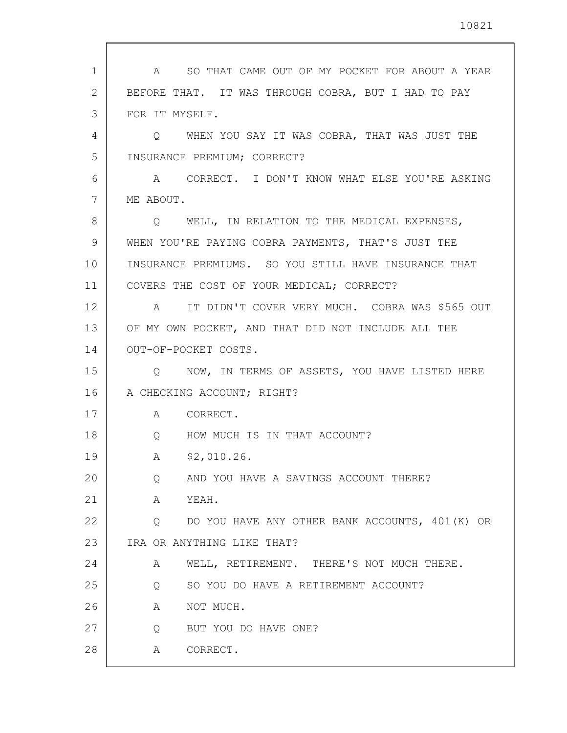| 1              | SO THAT CAME OUT OF MY POCKET FOR ABOUT A YEAR<br>A  |
|----------------|------------------------------------------------------|
| $\overline{2}$ | BEFORE THAT. IT WAS THROUGH COBRA, BUT I HAD TO PAY  |
| 3              | FOR IT MYSELF.                                       |
| 4              | Q WHEN YOU SAY IT WAS COBRA, THAT WAS JUST THE       |
| 5              | INSURANCE PREMIUM; CORRECT?                          |
| 6              | A CORRECT. I DON'T KNOW WHAT ELSE YOU'RE ASKING      |
| 7              | ME ABOUT.                                            |
| 8              | WELL, IN RELATION TO THE MEDICAL EXPENSES,<br>Q      |
| 9              | WHEN YOU'RE PAYING COBRA PAYMENTS, THAT'S JUST THE   |
| 10             | INSURANCE PREMIUMS. SO YOU STILL HAVE INSURANCE THAT |
| 11             | COVERS THE COST OF YOUR MEDICAL; CORRECT?            |
| 12             | IT DIDN'T COVER VERY MUCH. COBRA WAS \$565 OUT<br>A  |
| 13             | OF MY OWN POCKET, AND THAT DID NOT INCLUDE ALL THE   |
| 14             | OUT-OF-POCKET COSTS.                                 |
| 15             | NOW, IN TERMS OF ASSETS, YOU HAVE LISTED HERE<br>Q   |
| 16             | A CHECKING ACCOUNT; RIGHT?                           |
| 17             | CORRECT.<br>A                                        |
| 18             | HOW MUCH IS IN THAT ACCOUNT?<br>$Q \qquad \qquad$    |
| 19             | \$2,010.26.<br>A                                     |
| 20             | AND YOU HAVE A SAVINGS ACCOUNT THERE?<br>Q           |
| 21             | Α<br>YEAH.                                           |
| 22             | DO YOU HAVE ANY OTHER BANK ACCOUNTS, 401 (K) OR<br>Q |
| 23             | IRA OR ANYTHING LIKE THAT?                           |
| 24             | WELL, RETIREMENT. THERE'S NOT MUCH THERE.<br>A       |
| 25             | SO YOU DO HAVE A RETIREMENT ACCOUNT?<br>Q            |
| 26             | NOT MUCH.<br>Α                                       |
| 27             | BUT YOU DO HAVE ONE?<br>Q                            |
| 28             | CORRECT.<br>Α                                        |
|                |                                                      |

 $\sqrt{ }$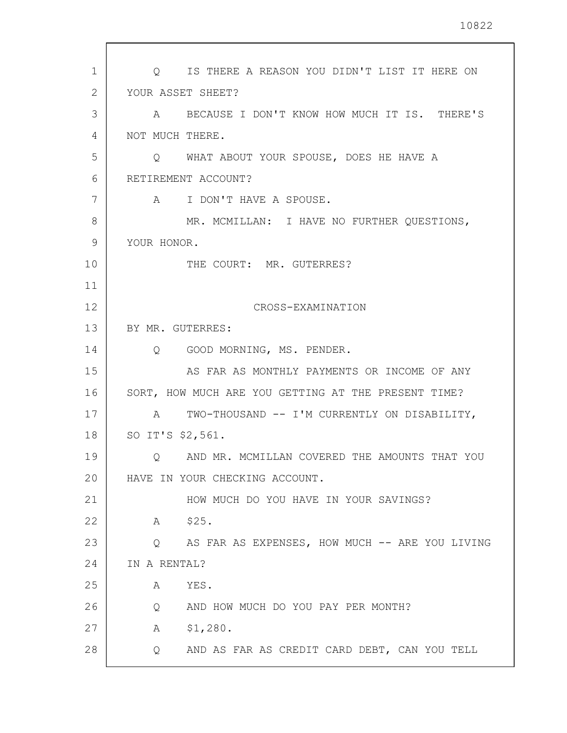| 1              | Q IS THERE A REASON YOU DIDN'T LIST IT HERE ON                |
|----------------|---------------------------------------------------------------|
| $\overline{2}$ | YOUR ASSET SHEET?                                             |
| 3              | A BECAUSE I DON'T KNOW HOW MUCH IT IS. THERE'S                |
| 4              | NOT MUCH THERE.                                               |
| 5              | Q WHAT ABOUT YOUR SPOUSE, DOES HE HAVE A                      |
| 6              | RETIREMENT ACCOUNT?                                           |
| 7              | I DON'T HAVE A SPOUSE.<br>$\mathbb A$                         |
| 8              | MR. MCMILLAN: I HAVE NO FURTHER QUESTIONS,                    |
| 9              | YOUR HONOR.                                                   |
| 10             | THE COURT: MR. GUTERRES?                                      |
| 11             |                                                               |
| 12             | CROSS-EXAMINATION                                             |
| 13             | BY MR. GUTERRES:                                              |
| 14             | Q GOOD MORNING, MS. PENDER.                                   |
| 15             | AS FAR AS MONTHLY PAYMENTS OR INCOME OF ANY                   |
| 16             | SORT, HOW MUCH ARE YOU GETTING AT THE PRESENT TIME?           |
| 17             | A TWO-THOUSAND -- I'M CURRENTLY ON DISABILITY,                |
| 18             | SO IT'S \$2,561.                                              |
| 19             | AND MR. MCMILLAN COVERED THE AMOUNTS THAT YOU<br>$\circ$      |
| 20             | HAVE IN YOUR CHECKING ACCOUNT.                                |
| 21             | HOW MUCH DO YOU HAVE IN YOUR SAVINGS?                         |
| 22             | \$25.<br>A                                                    |
| 23             | AS FAR AS EXPENSES, HOW MUCH -- ARE YOU LIVING<br>$Q_{\rm c}$ |
| 24             | IN A RENTAL?                                                  |
| 25             | YES.<br>A                                                     |
| 26             | AND HOW MUCH DO YOU PAY PER MONTH?<br>Q                       |
| 27             | \$1,280.<br>А                                                 |
| 28             | AND AS FAR AS CREDIT CARD DEBT, CAN YOU TELL<br>Q             |
|                |                                                               |

 $\overline{\phantom{a}}$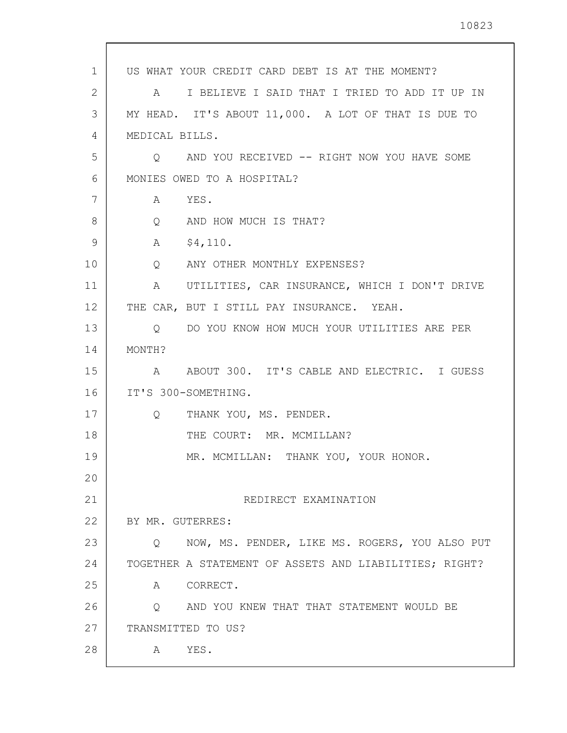| $\mathbf{1}$ | US WHAT YOUR CREDIT CARD DEBT IS AT THE MOMENT?                   |
|--------------|-------------------------------------------------------------------|
| 2            | I BELIEVE I SAID THAT I TRIED TO ADD IT UP IN<br>A                |
| 3            | MY HEAD. IT'S ABOUT 11,000. A LOT OF THAT IS DUE TO               |
| 4            | MEDICAL BILLS.                                                    |
| 5            | AND YOU RECEIVED -- RIGHT NOW YOU HAVE SOME<br>$\circ$            |
| 6            | MONIES OWED TO A HOSPITAL?                                        |
| 7            | YES.<br>A                                                         |
| 8            | Q AND HOW MUCH IS THAT?                                           |
| 9            | \$4,110.<br>$\mathbf{A}$                                          |
| 10           | ANY OTHER MONTHLY EXPENSES?<br>$Q \qquad \qquad$                  |
| 11           | UTILITIES, CAR INSURANCE, WHICH I DON'T DRIVE<br>$A \quad \alpha$ |
| 12           | THE CAR, BUT I STILL PAY INSURANCE. YEAH.                         |
| 13           | DO YOU KNOW HOW MUCH YOUR UTILITIES ARE PER<br>$Q \qquad \qquad$  |
| 14           | MONTH?                                                            |
| 15           | ABOUT 300. IT'S CABLE AND ELECTRIC. I GUESS<br>A                  |
| 16           | IT'S 300-SOMETHING.                                               |
| 17           | THANK YOU, MS. PENDER.<br>Q                                       |
| 18           | THE COURT: MR. MCMILLAN?                                          |
| 19           | MR. MCMILLAN: THANK YOU, YOUR HONOR.                              |
| 20           |                                                                   |
| 21           | REDIRECT EXAMINATION                                              |
| 22           | BY MR. GUTERRES:                                                  |
| 23           | NOW, MS. PENDER, LIKE MS. ROGERS, YOU ALSO PUT<br>$\circ$         |
| 24           | TOGETHER A STATEMENT OF ASSETS AND LIABILITIES; RIGHT?            |
| 25           | A CORRECT.                                                        |
| 26           | Q AND YOU KNEW THAT THAT STATEMENT WOULD BE                       |
| 27           | TRANSMITTED TO US?                                                |
| 28           | YES.<br>$\mathbf{A}$                                              |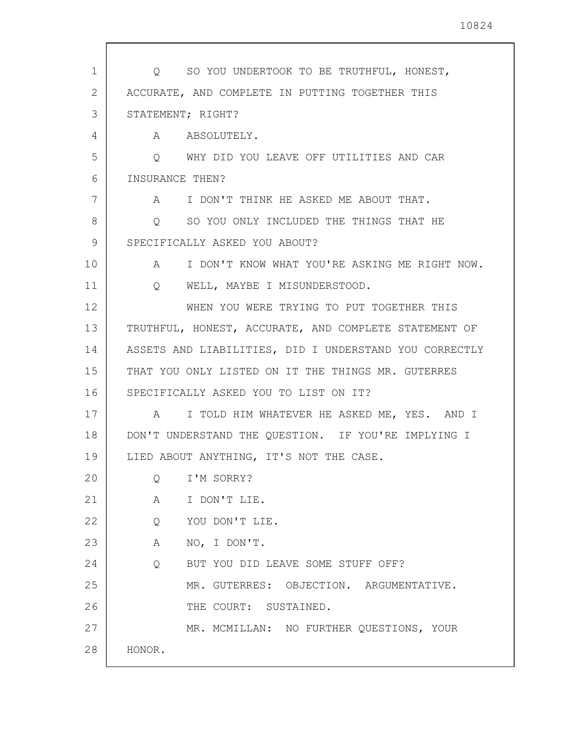| 1  | Q SO YOU UNDERTOOK TO BE TRUTHFUL, HONEST,             |
|----|--------------------------------------------------------|
| 2  | ACCURATE, AND COMPLETE IN PUTTING TOGETHER THIS        |
| 3  | STATEMENT; RIGHT?                                      |
| 4  | A ABSOLUTELY.                                          |
| 5  | Q WHY DID YOU LEAVE OFF UTILITIES AND CAR              |
| 6  | INSURANCE THEN?                                        |
| 7  | A I DON'T THINK HE ASKED ME ABOUT THAT.                |
| 8  | O SO YOU ONLY INCLUDED THE THINGS THAT HE              |
| 9  | SPECIFICALLY ASKED YOU ABOUT?                          |
| 10 | A I DON'T KNOW WHAT YOU'RE ASKING ME RIGHT NOW.        |
| 11 | Q WELL, MAYBE I MISUNDERSTOOD.                         |
| 12 | WHEN YOU WERE TRYING TO PUT TOGETHER THIS              |
| 13 | TRUTHFUL, HONEST, ACCURATE, AND COMPLETE STATEMENT OF  |
| 14 | ASSETS AND LIABILITIES, DID I UNDERSTAND YOU CORRECTLY |
| 15 | THAT YOU ONLY LISTED ON IT THE THINGS MR. GUTERRES     |
| 16 | SPECIFICALLY ASKED YOU TO LIST ON IT?                  |
| 17 | A I TOLD HIM WHATEVER HE ASKED ME, YES. AND I          |
| 18 | DON'T UNDERSTAND THE QUESTION. IF YOU'RE IMPLYING I    |
| 19 | LIED ABOUT ANYTHING, IT'S NOT THE CASE.                |
| 20 | I'M SORRY?<br>Q                                        |
| 21 | A I DON'T LIE.                                         |
| 22 | YOU DON'T LIE.<br>Q                                    |
| 23 | A NO, I DON'T.                                         |
| 24 | $Q \qquad \qquad$<br>BUT YOU DID LEAVE SOME STUFF OFF? |
| 25 | MR. GUTERRES: OBJECTION. ARGUMENTATIVE.                |
| 26 | THE COURT: SUSTAINED.                                  |
| 27 | MR. MCMILLAN: NO FURTHER QUESTIONS, YOUR               |
| 28 | HONOR.                                                 |
|    |                                                        |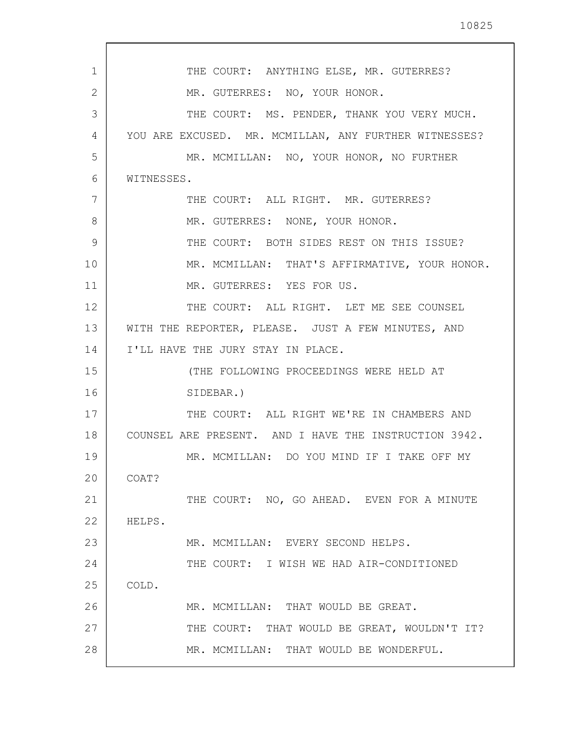| 1  |                                                       |
|----|-------------------------------------------------------|
|    | THE COURT: ANYTHING ELSE, MR. GUTERRES?               |
| 2  | MR. GUTERRES: NO, YOUR HONOR.                         |
| 3  | THE COURT: MS. PENDER, THANK YOU VERY MUCH.           |
| 4  | YOU ARE EXCUSED. MR. MCMILLAN, ANY FURTHER WITNESSES? |
| 5  | MR. MCMILLAN: NO, YOUR HONOR, NO FURTHER              |
| 6  | WITNESSES.                                            |
| 7  | THE COURT: ALL RIGHT. MR. GUTERRES?                   |
| 8  | MR. GUTERRES: NONE, YOUR HONOR.                       |
| 9  | THE COURT: BOTH SIDES REST ON THIS ISSUE?             |
| 10 | MR. MCMILLAN: THAT'S AFFIRMATIVE, YOUR HONOR.         |
| 11 | MR. GUTERRES: YES FOR US.                             |
| 12 | THE COURT: ALL RIGHT. LET ME SEE COUNSEL              |
| 13 | WITH THE REPORTER, PLEASE. JUST A FEW MINUTES, AND    |
| 14 | I'LL HAVE THE JURY STAY IN PLACE.                     |
| 15 | (THE FOLLOWING PROCEEDINGS WERE HELD AT               |
| 16 | SIDEBAR.)                                             |
| 17 | THE COURT: ALL RIGHT WE'RE IN CHAMBERS AND            |
| 18 | COUNSEL ARE PRESENT. AND I HAVE THE INSTRUCTION 3942. |
| 19 | MR. MCMILLAN: DO YOU MIND IF I TAKE OFF MY            |
| 20 | COAT?                                                 |
| 21 | THE COURT: NO, GO AHEAD. EVEN FOR A MINUTE            |
| 22 | HELPS.                                                |
| 23 | MR. MCMILLAN: EVERY SECOND HELPS.                     |
| 24 | THE COURT: I WISH WE HAD AIR-CONDITIONED              |
| 25 | COLD.                                                 |
| 26 | MR. MCMILLAN: THAT WOULD BE GREAT.                    |
| 27 | THE COURT: THAT WOULD BE GREAT, WOULDN'T IT?          |
| 28 | MR. MCMILLAN: THAT WOULD BE WONDERFUL.                |
|    |                                                       |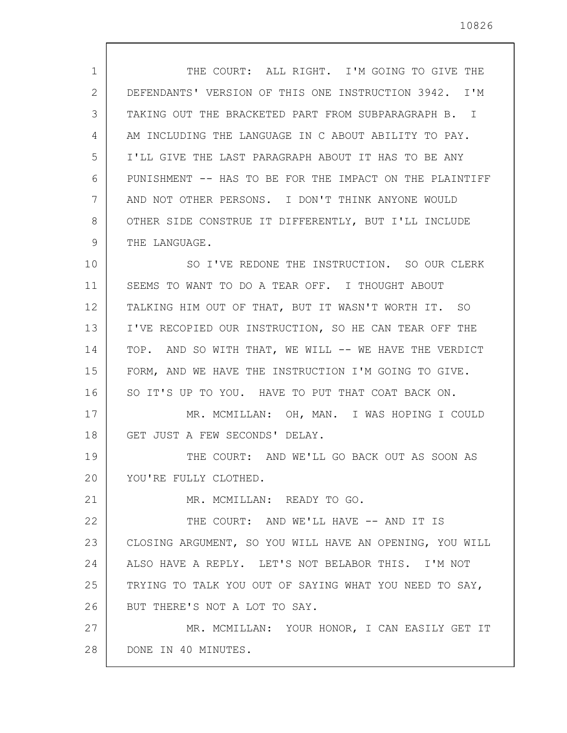| $\mathbf{1}$ | THE COURT: ALL RIGHT. I'M GOING TO GIVE THE             |
|--------------|---------------------------------------------------------|
| 2            | DEFENDANTS' VERSION OF THIS ONE INSTRUCTION 3942. I'M   |
| 3            | TAKING OUT THE BRACKETED PART FROM SUBPARAGRAPH B. I    |
| 4            | AM INCLUDING THE LANGUAGE IN C ABOUT ABILITY TO PAY.    |
| 5            | I'LL GIVE THE LAST PARAGRAPH ABOUT IT HAS TO BE ANY     |
| 6            | PUNISHMENT -- HAS TO BE FOR THE IMPACT ON THE PLAINTIFF |
| 7            | AND NOT OTHER PERSONS. I DON'T THINK ANYONE WOULD       |
| 8            | OTHER SIDE CONSTRUE IT DIFFERENTLY, BUT I'LL INCLUDE    |
| 9            | THE LANGUAGE.                                           |
| 10           | SO I'VE REDONE THE INSTRUCTION. SO OUR CLERK            |
| 11           | SEEMS TO WANT TO DO A TEAR OFF. I THOUGHT ABOUT         |
| 12           | TALKING HIM OUT OF THAT, BUT IT WASN'T WORTH IT. SO     |
| 13           | I'VE RECOPIED OUR INSTRUCTION, SO HE CAN TEAR OFF THE   |
| 14           | TOP. AND SO WITH THAT, WE WILL -- WE HAVE THE VERDICT   |
| 15           | FORM, AND WE HAVE THE INSTRUCTION I'M GOING TO GIVE.    |
| 16           | SO IT'S UP TO YOU. HAVE TO PUT THAT COAT BACK ON.       |
| 17           | MR. MCMILLAN: OH, MAN. I WAS HOPING I COULD             |
| 18           | GET JUST A FEW SECONDS' DELAY.                          |
| 19           | THE COURT: AND WE'LL GO BACK OUT AS SOON AS             |
| 20           | YOU'RE FULLY CLOTHED.                                   |
| 21           | MR. MCMILLAN: READY TO GO.                              |
| 22           | THE COURT: AND WE'LL HAVE -- AND IT IS                  |
| 23           | CLOSING ARGUMENT, SO YOU WILL HAVE AN OPENING, YOU WILL |
| 24           | ALSO HAVE A REPLY. LET'S NOT BELABOR THIS. I'M NOT      |
| 25           | TRYING TO TALK YOU OUT OF SAYING WHAT YOU NEED TO SAY,  |
| 26           | BUT THERE'S NOT A LOT TO SAY.                           |
| 27           | MR. MCMILLAN: YOUR HONOR, I CAN EASILY GET IT           |
| 28           | DONE IN 40 MINUTES.                                     |
|              |                                                         |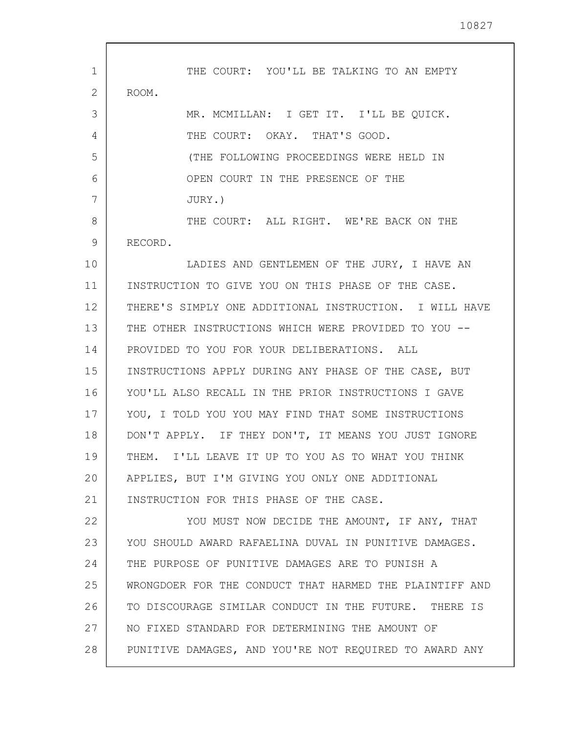10827

| 1<br>2 | THE COURT: YOU'LL BE TALKING TO AN EMPTY<br>ROOM.       |
|--------|---------------------------------------------------------|
|        |                                                         |
| 3      | MR. MCMILLAN: I GET IT. I'LL BE QUICK.                  |
| 4      | THE COURT: OKAY. THAT'S GOOD.                           |
| 5      | (THE FOLLOWING PROCEEDINGS WERE HELD IN                 |
| 6      | OPEN COURT IN THE PRESENCE OF THE                       |
| 7      | JURY.)                                                  |
| 8      | THE COURT: ALL RIGHT. WE'RE BACK ON THE                 |
| 9      | RECORD.                                                 |
| 10     | LADIES AND GENTLEMEN OF THE JURY, I HAVE AN             |
| 11     | INSTRUCTION TO GIVE YOU ON THIS PHASE OF THE CASE.      |
| 12     | THERE'S SIMPLY ONE ADDITIONAL INSTRUCTION. I WILL HAVE  |
| 13     | THE OTHER INSTRUCTIONS WHICH WERE PROVIDED TO YOU --    |
| 14     | PROVIDED TO YOU FOR YOUR DELIBERATIONS. ALL             |
| 15     | INSTRUCTIONS APPLY DURING ANY PHASE OF THE CASE, BUT    |
| 16     | YOU'LL ALSO RECALL IN THE PRIOR INSTRUCTIONS I GAVE     |
| 17     | YOU, I TOLD YOU YOU MAY FIND THAT SOME INSTRUCTIONS     |
| 18     | DON'T APPLY. IF THEY DON'T, IT MEANS YOU JUST IGNORE    |
| 19     | THEM. I'LL LEAVE IT UP TO YOU AS TO WHAT YOU THINK      |
| 20     | APPLIES, BUT I'M GIVING YOU ONLY ONE ADDITIONAL         |
| 21     | INSTRUCTION FOR THIS PHASE OF THE CASE.                 |
| 22     | YOU MUST NOW DECIDE THE AMOUNT, IF ANY, THAT            |
| 23     | YOU SHOULD AWARD RAFAELINA DUVAL IN PUNITIVE DAMAGES.   |
| 24     | THE PURPOSE OF PUNITIVE DAMAGES ARE TO PUNISH A         |
| 25     | WRONGDOER FOR THE CONDUCT THAT HARMED THE PLAINTIFF AND |
| 26     | TO DISCOURAGE SIMILAR CONDUCT IN THE FUTURE. THERE IS   |
| 27     | NO FIXED STANDARD FOR DETERMINING THE AMOUNT OF         |
| 28     | PUNITIVE DAMAGES, AND YOU'RE NOT REQUIRED TO AWARD ANY  |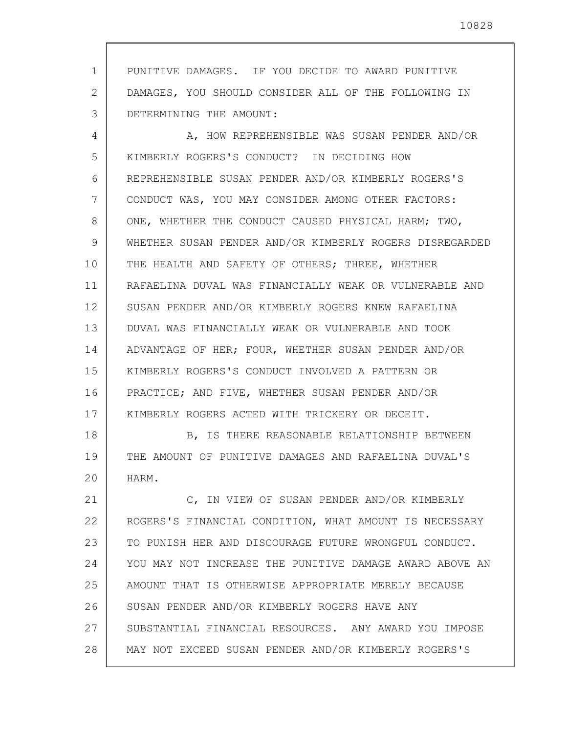1 2 3 PUNITIVE DAMAGES. IF YOU DECIDE TO AWARD PUNITIVE DAMAGES, YOU SHOULD CONSIDER ALL OF THE FOLLOWING IN DETERMINING THE AMOUNT:

4 5 6 7 8 9 10 11 12 13 14 15 16 17 A, HOW REPREHENSIBLE WAS SUSAN PENDER AND/OR KIMBERLY ROGERS'S CONDUCT? IN DECIDING HOW REPREHENSIBLE SUSAN PENDER AND/OR KIMBERLY ROGERS'S CONDUCT WAS, YOU MAY CONSIDER AMONG OTHER FACTORS: ONE, WHETHER THE CONDUCT CAUSED PHYSICAL HARM; TWO, WHETHER SUSAN PENDER AND/OR KIMBERLY ROGERS DISREGARDED THE HEALTH AND SAFETY OF OTHERS; THREE, WHETHER RAFAELINA DUVAL WAS FINANCIALLY WEAK OR VULNERABLE AND SUSAN PENDER AND/OR KIMBERLY ROGERS KNEW RAFAELINA DUVAL WAS FINANCIALLY WEAK OR VULNERABLE AND TOOK ADVANTAGE OF HER; FOUR, WHETHER SUSAN PENDER AND/OR KIMBERLY ROGERS'S CONDUCT INVOLVED A PATTERN OR PRACTICE; AND FIVE, WHETHER SUSAN PENDER AND/OR KIMBERLY ROGERS ACTED WITH TRICKERY OR DECEIT.

18 19 20 B, IS THERE REASONABLE RELATIONSHIP BETWEEN THE AMOUNT OF PUNITIVE DAMAGES AND RAFAELINA DUVAL'S HARM.

21 22 23 24 25 26 27 28 C, IN VIEW OF SUSAN PENDER AND/OR KIMBERLY ROGERS'S FINANCIAL CONDITION, WHAT AMOUNT IS NECESSARY TO PUNISH HER AND DISCOURAGE FUTURE WRONGFUL CONDUCT. YOU MAY NOT INCREASE THE PUNITIVE DAMAGE AWARD ABOVE AN AMOUNT THAT IS OTHERWISE APPROPRIATE MERELY BECAUSE SUSAN PENDER AND/OR KIMBERLY ROGERS HAVE ANY SUBSTANTIAL FINANCIAL RESOURCES. ANY AWARD YOU IMPOSE MAY NOT EXCEED SUSAN PENDER AND/OR KIMBERLY ROGERS'S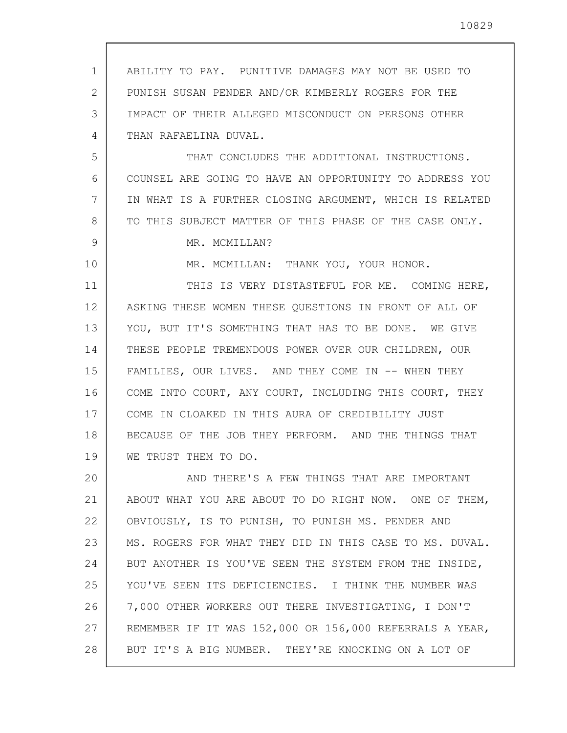| 1. | ABILITY TO PAY. PUNITIVE DAMAGES MAY NOT BE USED TO     |
|----|---------------------------------------------------------|
| 2  | PUNISH SUSAN PENDER AND/OR KIMBERLY ROGERS FOR THE      |
| 3  | IMPACT OF THEIR ALLEGED MISCONDUCT ON PERSONS OTHER     |
| 4  | THAN RAFAELINA DUVAL.                                   |
| 5  | THAT CONCLUDES THE ADDITIONAL INSTRUCTIONS.             |
| 6  | COUNSEL ARE GOING TO HAVE AN OPPORTUNITY TO ADDRESS YOU |
| 7  | IN WHAT IS A FURTHER CLOSING ARGUMENT, WHICH IS RELATED |
| 8  | TO THIS SUBJECT MATTER OF THIS PHASE OF THE CASE ONLY.  |
| 9  | MR. MCMILLAN?                                           |
| 10 | MR. MCMILLAN: THANK YOU, YOUR HONOR.                    |
| 11 | THIS IS VERY DISTASTEFUL FOR ME. COMING HERE,           |
| 12 | ASKING THESE WOMEN THESE QUESTIONS IN FRONT OF ALL OF   |
| 13 | YOU, BUT IT'S SOMETHING THAT HAS TO BE DONE. WE GIVE    |
| 14 | THESE PEOPLE TREMENDOUS POWER OVER OUR CHILDREN, OUR    |
| 15 | FAMILIES, OUR LIVES. AND THEY COME IN -- WHEN THEY      |
| 16 | COME INTO COURT, ANY COURT, INCLUDING THIS COURT, THEY  |
| 17 | COME IN CLOAKED IN THIS AURA OF CREDIBILITY JUST        |
| 18 | BECAUSE OF THE JOB THEY PERFORM. AND THE THINGS THAT    |
| 19 | WE TRUST THEM TO DO.                                    |
| 20 | AND THERE'S A FEW THINGS THAT ARE IMPORTANT             |
| 21 | ABOUT WHAT YOU ARE ABOUT TO DO RIGHT NOW. ONE OF THEM,  |
| 22 | OBVIOUSLY, IS TO PUNISH, TO PUNISH MS. PENDER AND       |
| 23 | MS. ROGERS FOR WHAT THEY DID IN THIS CASE TO MS. DUVAL. |
| 24 | BUT ANOTHER IS YOU'VE SEEN THE SYSTEM FROM THE INSIDE,  |
| 25 | YOU'VE SEEN ITS DEFICIENCIES. I THINK THE NUMBER WAS    |
| 26 | 7,000 OTHER WORKERS OUT THERE INVESTIGATING, I DON'T    |
| 27 | REMEMBER IF IT WAS 152,000 OR 156,000 REFERRALS A YEAR, |
| 28 | BUT IT'S A BIG NUMBER. THEY'RE KNOCKING ON A LOT OF     |
|    |                                                         |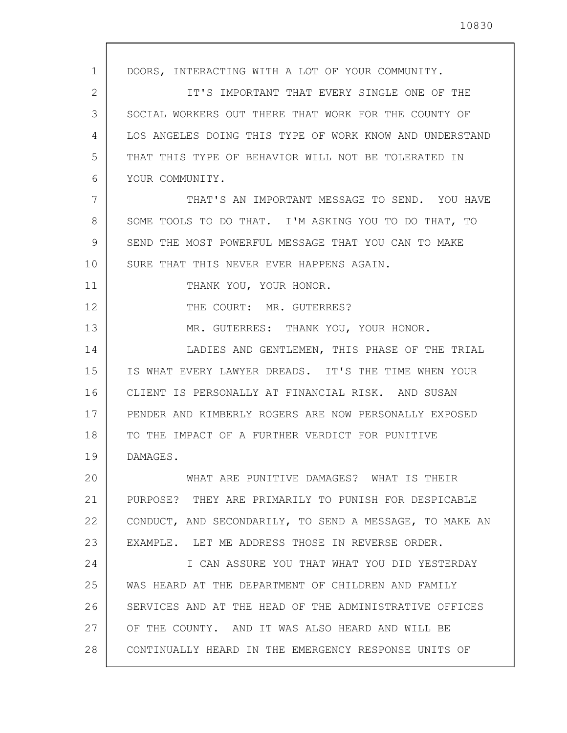| 1  | DOORS, INTERACTING WITH A LOT OF YOUR COMMUNITY.        |
|----|---------------------------------------------------------|
| 2  | IT'S IMPORTANT THAT EVERY SINGLE ONE OF THE             |
| 3  | SOCIAL WORKERS OUT THERE THAT WORK FOR THE COUNTY OF    |
| 4  | LOS ANGELES DOING THIS TYPE OF WORK KNOW AND UNDERSTAND |
| 5  | THAT THIS TYPE OF BEHAVIOR WILL NOT BE TOLERATED IN     |
| 6  | YOUR COMMUNITY.                                         |
| 7  | THAT'S AN IMPORTANT MESSAGE TO SEND. YOU HAVE           |
| 8  | SOME TOOLS TO DO THAT. I'M ASKING YOU TO DO THAT, TO    |
| 9  | SEND THE MOST POWERFUL MESSAGE THAT YOU CAN TO MAKE     |
| 10 | SURE THAT THIS NEVER EVER HAPPENS AGAIN.                |
| 11 | THANK YOU, YOUR HONOR.                                  |
| 12 | THE COURT: MR. GUTERRES?                                |
| 13 | MR. GUTERRES: THANK YOU, YOUR HONOR.                    |
| 14 | LADIES AND GENTLEMEN, THIS PHASE OF THE TRIAL           |
| 15 | IS WHAT EVERY LAWYER DREADS. IT'S THE TIME WHEN YOUR    |
| 16 | CLIENT IS PERSONALLY AT FINANCIAL RISK. AND SUSAN       |
| 17 | PENDER AND KIMBERLY ROGERS ARE NOW PERSONALLY EXPOSED   |
| 18 | TO THE IMPACT OF A FURTHER VERDICT FOR PUNITIVE         |
| 19 | DAMAGES.                                                |
| 20 | WHAT ARE PUNITIVE DAMAGES? WHAT IS THEIR                |
| 21 | PURPOSE? THEY ARE PRIMARILY TO PUNISH FOR DESPICABLE    |
| 22 | CONDUCT, AND SECONDARILY, TO SEND A MESSAGE, TO MAKE AN |
| 23 | EXAMPLE. LET ME ADDRESS THOSE IN REVERSE ORDER.         |
| 24 | I CAN ASSURE YOU THAT WHAT YOU DID YESTERDAY            |
| 25 | WAS HEARD AT THE DEPARTMENT OF CHILDREN AND FAMILY      |
| 26 | SERVICES AND AT THE HEAD OF THE ADMINISTRATIVE OFFICES  |
| 27 | OF THE COUNTY. AND IT WAS ALSO HEARD AND WILL BE        |
| 28 | CONTINUALLY HEARD IN THE EMERGENCY RESPONSE UNITS OF    |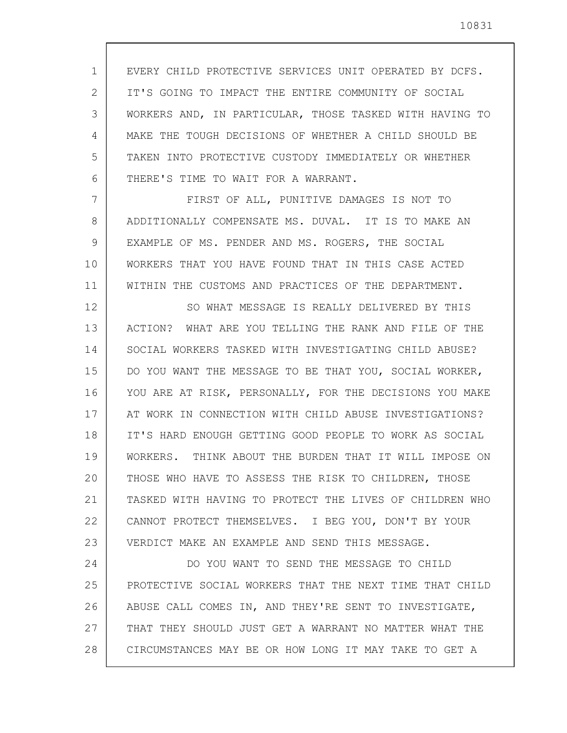1 2 3 4 5 6 EVERY CHILD PROTECTIVE SERVICES UNIT OPERATED BY DCFS. IT'S GOING TO IMPACT THE ENTIRE COMMUNITY OF SOCIAL WORKERS AND, IN PARTICULAR, THOSE TASKED WITH HAVING TO MAKE THE TOUGH DECISIONS OF WHETHER A CHILD SHOULD BE TAKEN INTO PROTECTIVE CUSTODY IMMEDIATELY OR WHETHER THERE'S TIME TO WAIT FOR A WARRANT.

7 8 9 10 11 FIRST OF ALL, PUNITIVE DAMAGES IS NOT TO ADDITIONALLY COMPENSATE MS. DUVAL. IT IS TO MAKE AN EXAMPLE OF MS. PENDER AND MS. ROGERS, THE SOCIAL WORKERS THAT YOU HAVE FOUND THAT IN THIS CASE ACTED WITHIN THE CUSTOMS AND PRACTICES OF THE DEPARTMENT.

12 13 14 15 16 17 18 19 20 21 22 23 SO WHAT MESSAGE IS REALLY DELIVERED BY THIS ACTION? WHAT ARE YOU TELLING THE RANK AND FILE OF THE SOCIAL WORKERS TASKED WITH INVESTIGATING CHILD ABUSE? DO YOU WANT THE MESSAGE TO BE THAT YOU, SOCIAL WORKER, YOU ARE AT RISK, PERSONALLY, FOR THE DECISIONS YOU MAKE AT WORK IN CONNECTION WITH CHILD ABUSE INVESTIGATIONS? IT'S HARD ENOUGH GETTING GOOD PEOPLE TO WORK AS SOCIAL WORKERS. THINK ABOUT THE BURDEN THAT IT WILL IMPOSE ON THOSE WHO HAVE TO ASSESS THE RISK TO CHILDREN, THOSE TASKED WITH HAVING TO PROTECT THE LIVES OF CHILDREN WHO CANNOT PROTECT THEMSELVES. I BEG YOU, DON'T BY YOUR VERDICT MAKE AN EXAMPLE AND SEND THIS MESSAGE.

24 25 26 27 28 DO YOU WANT TO SEND THE MESSAGE TO CHILD PROTECTIVE SOCIAL WORKERS THAT THE NEXT TIME THAT CHILD ABUSE CALL COMES IN, AND THEY'RE SENT TO INVESTIGATE, THAT THEY SHOULD JUST GET A WARRANT NO MATTER WHAT THE CIRCUMSTANCES MAY BE OR HOW LONG IT MAY TAKE TO GET A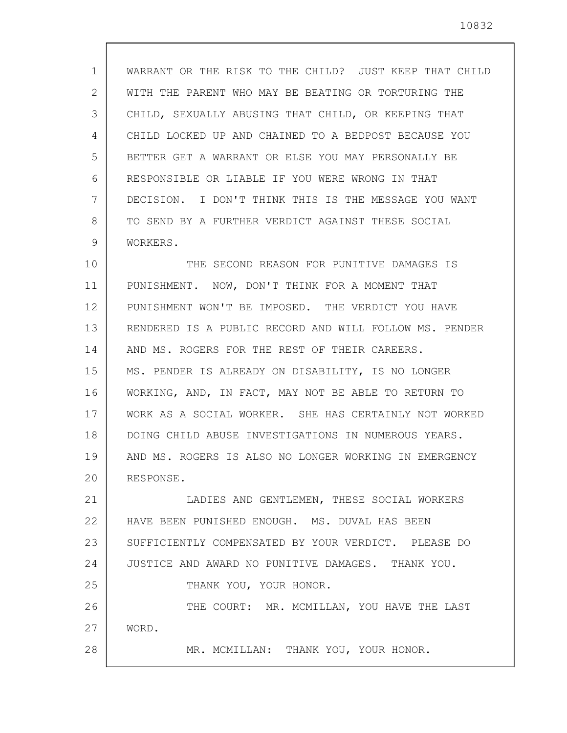1 2 3 4 5 6 7 8 9 10 11 12 13 14 15 16 17 18 19 20 21 22 23 24 25 26 27 28 WARRANT OR THE RISK TO THE CHILD? JUST KEEP THAT CHILD WITH THE PARENT WHO MAY BE BEATING OR TORTURING THE CHILD, SEXUALLY ABUSING THAT CHILD, OR KEEPING THAT CHILD LOCKED UP AND CHAINED TO A BEDPOST BECAUSE YOU BETTER GET A WARRANT OR ELSE YOU MAY PERSONALLY BE RESPONSIBLE OR LIABLE IF YOU WERE WRONG IN THAT DECISION. I DON'T THINK THIS IS THE MESSAGE YOU WANT TO SEND BY A FURTHER VERDICT AGAINST THESE SOCIAL WORKERS. THE SECOND REASON FOR PUNITIVE DAMAGES IS PUNISHMENT. NOW, DON'T THINK FOR A MOMENT THAT PUNISHMENT WON'T BE IMPOSED. THE VERDICT YOU HAVE RENDERED IS A PUBLIC RECORD AND WILL FOLLOW MS. PENDER AND MS. ROGERS FOR THE REST OF THEIR CAREERS. MS. PENDER IS ALREADY ON DISABILITY, IS NO LONGER WORKING, AND, IN FACT, MAY NOT BE ABLE TO RETURN TO WORK AS A SOCIAL WORKER. SHE HAS CERTAINLY NOT WORKED DOING CHILD ABUSE INVESTIGATIONS IN NUMEROUS YEARS. AND MS. ROGERS IS ALSO NO LONGER WORKING IN EMERGENCY RESPONSE. LADIES AND GENTLEMEN, THESE SOCIAL WORKERS HAVE BEEN PUNISHED ENOUGH. MS. DUVAL HAS BEEN SUFFICIENTLY COMPENSATED BY YOUR VERDICT. PLEASE DO JUSTICE AND AWARD NO PUNITIVE DAMAGES. THANK YOU. THANK YOU, YOUR HONOR. THE COURT: MR. MCMILLAN, YOU HAVE THE LAST WORD. MR. MCMILLAN: THANK YOU, YOUR HONOR.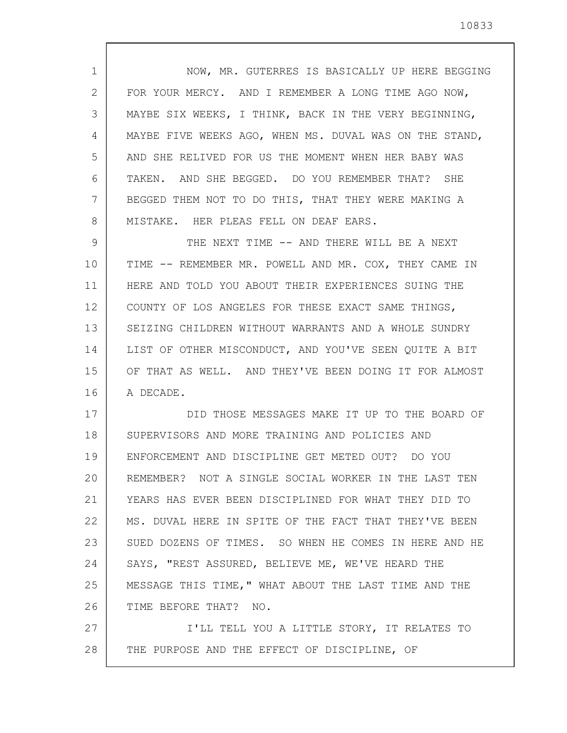| $\mathbf 1$ | NOW, MR. GUTERRES IS BASICALLY UP HERE BEGGING         |
|-------------|--------------------------------------------------------|
| 2           | FOR YOUR MERCY. AND I REMEMBER A LONG TIME AGO NOW,    |
| 3           | MAYBE SIX WEEKS, I THINK, BACK IN THE VERY BEGINNING,  |
| 4           | MAYBE FIVE WEEKS AGO, WHEN MS. DUVAL WAS ON THE STAND, |
| 5           | AND SHE RELIVED FOR US THE MOMENT WHEN HER BABY WAS    |
| 6           | TAKEN. AND SHE BEGGED. DO YOU REMEMBER THAT? SHE       |
| 7           | BEGGED THEM NOT TO DO THIS, THAT THEY WERE MAKING A    |
| 8           | MISTAKE. HER PLEAS FELL ON DEAF EARS.                  |
| 9           | THE NEXT TIME -- AND THERE WILL BE A NEXT              |
| 10          | TIME -- REMEMBER MR. POWELL AND MR. COX, THEY CAME IN  |
| 11          | HERE AND TOLD YOU ABOUT THEIR EXPERIENCES SUING THE    |
| 12          | COUNTY OF LOS ANGELES FOR THESE EXACT SAME THINGS,     |
| 13          | SEIZING CHILDREN WITHOUT WARRANTS AND A WHOLE SUNDRY   |
| 14          | LIST OF OTHER MISCONDUCT, AND YOU'VE SEEN QUITE A BIT  |
| 15          | OF THAT AS WELL. AND THEY'VE BEEN DOING IT FOR ALMOST  |
| 16          | A DECADE.                                              |
| 17          | DID THOSE MESSAGES MAKE IT UP TO THE BOARD OF          |
| 18          | SUPERVISORS AND MORE TRAINING AND POLICIES AND         |
| 19          | ENFORCEMENT AND DISCIPLINE GET METED OUT? DO YOU       |
| 20          | REMEMBER? NOT A SINGLE SOCIAL WORKER IN THE LAST TEN   |
| 21          | YEARS HAS EVER BEEN DISCIPLINED FOR WHAT THEY DID TO   |
| 22          | MS. DUVAL HERE IN SPITE OF THE FACT THAT THEY'VE BEEN  |
| 23          | SUED DOZENS OF TIMES. SO WHEN HE COMES IN HERE AND HE  |
| 24          | SAYS, "REST ASSURED, BELIEVE ME, WE'VE HEARD THE       |
| 25          | MESSAGE THIS TIME, " WHAT ABOUT THE LAST TIME AND THE  |
| 26          | TIME BEFORE THAT? NO.                                  |
| 27          | I'LL TELL YOU A LITTLE STORY, IT RELATES TO            |
| 28          | THE PURPOSE AND THE EFFECT OF DISCIPLINE, OF           |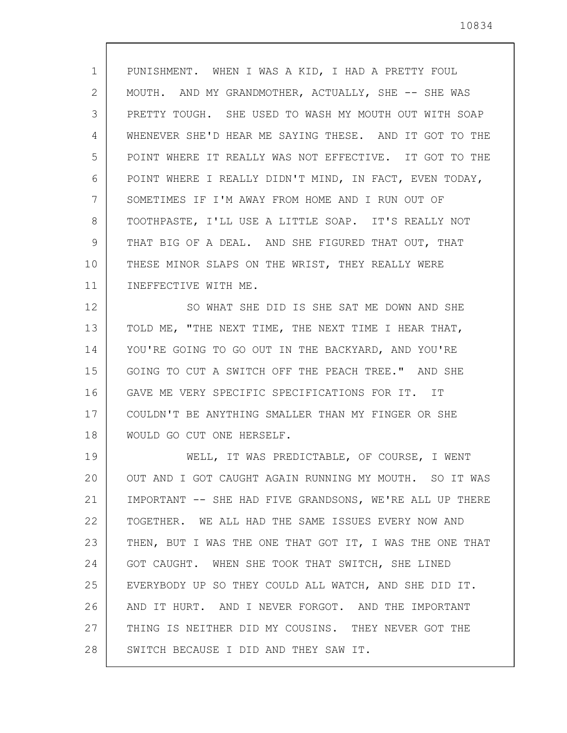10834

1 2 3 4 5 6 7 8 9 10 11 PUNISHMENT. WHEN I WAS A KID, I HAD A PRETTY FOUL MOUTH. AND MY GRANDMOTHER, ACTUALLY, SHE -- SHE WAS PRETTY TOUGH. SHE USED TO WASH MY MOUTH OUT WITH SOAP WHENEVER SHE'D HEAR ME SAYING THESE. AND IT GOT TO THE POINT WHERE IT REALLY WAS NOT EFFECTIVE. IT GOT TO THE POINT WHERE I REALLY DIDN'T MIND, IN FACT, EVEN TODAY, SOMETIMES IF I'M AWAY FROM HOME AND I RUN OUT OF TOOTHPASTE, I'LL USE A LITTLE SOAP. IT'S REALLY NOT THAT BIG OF A DEAL. AND SHE FIGURED THAT OUT, THAT THESE MINOR SLAPS ON THE WRIST, THEY REALLY WERE INEFFECTIVE WITH ME.

12 13 14 15 16 17 18 SO WHAT SHE DID IS SHE SAT ME DOWN AND SHE TOLD ME, "THE NEXT TIME, THE NEXT TIME I HEAR THAT, YOU'RE GOING TO GO OUT IN THE BACKYARD, AND YOU'RE GOING TO CUT A SWITCH OFF THE PEACH TREE." AND SHE GAVE ME VERY SPECIFIC SPECIFICATIONS FOR IT. IT COULDN'T BE ANYTHING SMALLER THAN MY FINGER OR SHE WOULD GO CUT ONE HERSELF.

19 20 21 22 23 24 25 26 27 28 WELL, IT WAS PREDICTABLE, OF COURSE, I WENT OUT AND I GOT CAUGHT AGAIN RUNNING MY MOUTH. SO IT WAS IMPORTANT -- SHE HAD FIVE GRANDSONS, WE'RE ALL UP THERE TOGETHER. WE ALL HAD THE SAME ISSUES EVERY NOW AND THEN, BUT I WAS THE ONE THAT GOT IT, I WAS THE ONE THAT GOT CAUGHT. WHEN SHE TOOK THAT SWITCH, SHE LINED EVERYBODY UP SO THEY COULD ALL WATCH, AND SHE DID IT. AND IT HURT. AND I NEVER FORGOT. AND THE IMPORTANT THING IS NEITHER DID MY COUSINS. THEY NEVER GOT THE SWITCH BECAUSE I DID AND THEY SAW IT.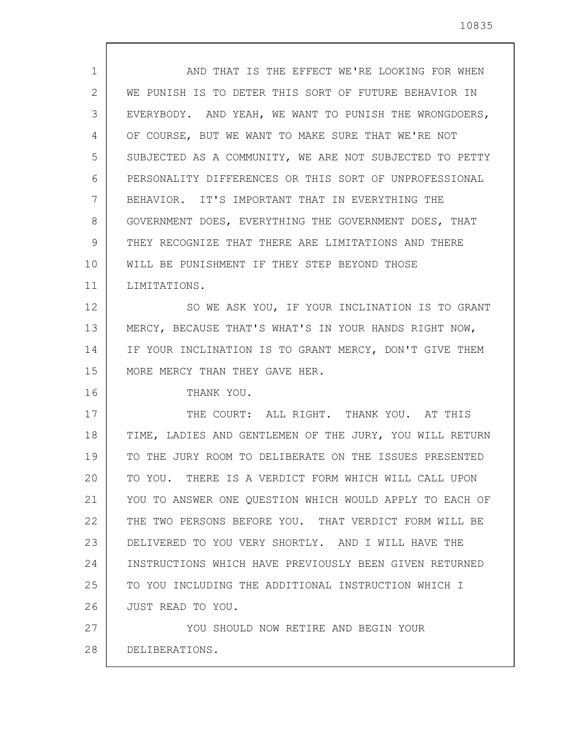| $\mathbf{1}$ | AND THAT IS THE EFFECT WE'RE LOOKING FOR WHEN           |
|--------------|---------------------------------------------------------|
| 2            | WE PUNISH IS TO DETER THIS SORT OF FUTURE BEHAVIOR IN   |
| 3            | EVERYBODY. AND YEAH, WE WANT TO PUNISH THE WRONGDOERS,  |
| 4            | OF COURSE, BUT WE WANT TO MAKE SURE THAT WE'RE NOT      |
| 5            | SUBJECTED AS A COMMUNITY, WE ARE NOT SUBJECTED TO PETTY |
| 6            | PERSONALITY DIFFERENCES OR THIS SORT OF UNPROFESSIONAL  |
| 7            | BEHAVIOR. IT'S IMPORTANT THAT IN EVERYTHING THE         |
| 8            | GOVERNMENT DOES, EVERYTHING THE GOVERNMENT DOES, THAT   |
| 9            | THEY RECOGNIZE THAT THERE ARE LIMITATIONS AND THERE     |
| 10           | WILL BE PUNISHMENT IF THEY STEP BEYOND THOSE            |
| 11           | LIMITATIONS.                                            |
| 12           | SO WE ASK YOU, IF YOUR INCLINATION IS TO GRANT          |
| 13           | MERCY, BECAUSE THAT'S WHAT'S IN YOUR HANDS RIGHT NOW,   |
| 14           | IF YOUR INCLINATION IS TO GRANT MERCY, DON'T GIVE THEM  |
| 15           | MORE MERCY THAN THEY GAVE HER.                          |
| 16           | THANK YOU.                                              |
| 17           | THE COURT: ALL RIGHT. THANK YOU. AT THIS                |
| 18           | TIME, LADIES AND GENTLEMEN OF THE JURY, YOU WILL RETURN |
| 19           | TO THE JURY ROOM TO DELIBERATE ON THE ISSUES PRESENTED  |
| 20           | TO YOU. THERE IS A VERDICT FORM WHICH WILL CALL UPON    |
| 21           | YOU TO ANSWER ONE QUESTION WHICH WOULD APPLY TO EACH OF |
| 22           | THE TWO PERSONS BEFORE YOU. THAT VERDICT FORM WILL BE   |
| 23           | DELIVERED TO YOU VERY SHORTLY. AND I WILL HAVE THE      |
| 24           | INSTRUCTIONS WHICH HAVE PREVIOUSLY BEEN GIVEN RETURNED  |
| 25           | TO YOU INCLUDING THE ADDITIONAL INSTRUCTION WHICH I     |
| 26           | JUST READ TO YOU.                                       |
| 27           | YOU SHOULD NOW RETIRE AND BEGIN YOUR                    |
| 28           | DELIBERATIONS.                                          |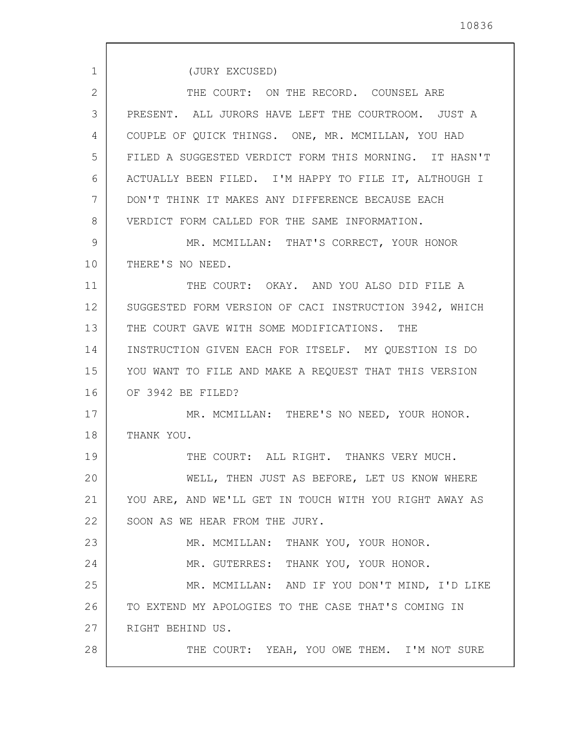1 2 3 4 5 6 7 8 9 10 11 12 13 14 15 16 17 18 19 20 21 22 23 24 25 26 27 28 (JURY EXCUSED) THE COURT: ON THE RECORD. COUNSEL ARE PRESENT. ALL JURORS HAVE LEFT THE COURTROOM. JUST A COUPLE OF QUICK THINGS. ONE, MR. MCMILLAN, YOU HAD FILED A SUGGESTED VERDICT FORM THIS MORNING. IT HASN'T ACTUALLY BEEN FILED. I'M HAPPY TO FILE IT, ALTHOUGH I DON'T THINK IT MAKES ANY DIFFERENCE BECAUSE EACH VERDICT FORM CALLED FOR THE SAME INFORMATION. MR. MCMILLAN: THAT'S CORRECT, YOUR HONOR THERE'S NO NEED. THE COURT: OKAY. AND YOU ALSO DID FILE A SUGGESTED FORM VERSION OF CACI INSTRUCTION 3942, WHICH THE COURT GAVE WITH SOME MODIFICATIONS. THE INSTRUCTION GIVEN EACH FOR ITSELF. MY QUESTION IS DO YOU WANT TO FILE AND MAKE A REQUEST THAT THIS VERSION OF 3942 BE FILED? MR. MCMILLAN: THERE'S NO NEED, YOUR HONOR. THANK YOU. THE COURT: ALL RIGHT. THANKS VERY MUCH. WELL, THEN JUST AS BEFORE, LET US KNOW WHERE YOU ARE, AND WE'LL GET IN TOUCH WITH YOU RIGHT AWAY AS SOON AS WE HEAR FROM THE JURY. MR. MCMILLAN: THANK YOU, YOUR HONOR. MR. GUTERRES: THANK YOU, YOUR HONOR. MR. MCMILLAN: AND IF YOU DON'T MIND, I'D LIKE TO EXTEND MY APOLOGIES TO THE CASE THAT'S COMING IN RIGHT BEHIND US. THE COURT: YEAH, YOU OWE THEM. I'M NOT SURE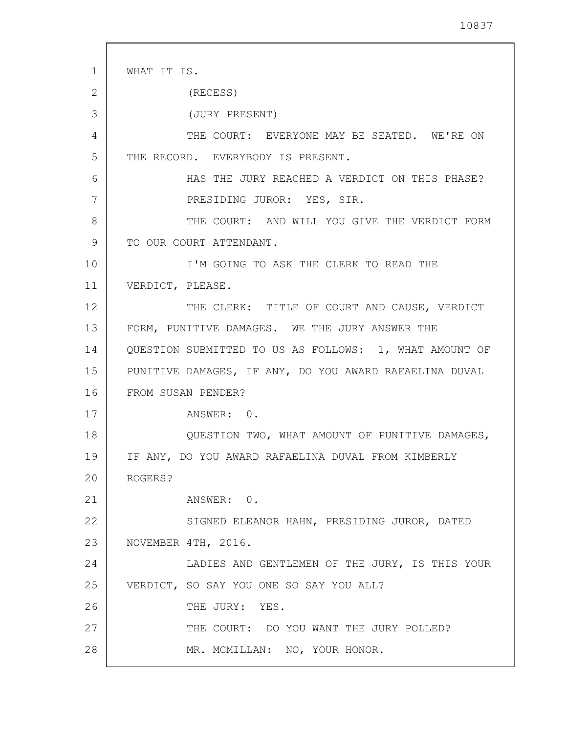1 2 3 4 5 6 7 8 9 10 11 12 13 14 15 16 17 18 19 20 21 22 23 24 25 26 27 28 WHAT IT IS. (RECESS) (JURY PRESENT) THE COURT: EVERYONE MAY BE SEATED. WE'RE ON THE RECORD. EVERYBODY IS PRESENT. HAS THE JURY REACHED A VERDICT ON THIS PHASE? PRESIDING JUROR: YES, SIR. THE COURT: AND WILL YOU GIVE THE VERDICT FORM TO OUR COURT ATTENDANT. I'M GOING TO ASK THE CLERK TO READ THE VERDICT, PLEASE. THE CLERK: TITLE OF COURT AND CAUSE, VERDICT FORM, PUNITIVE DAMAGES. WE THE JURY ANSWER THE QUESTION SUBMITTED TO US AS FOLLOWS: 1, WHAT AMOUNT OF PUNITIVE DAMAGES, IF ANY, DO YOU AWARD RAFAELINA DUVAL FROM SUSAN PENDER? ANSWER: 0. QUESTION TWO, WHAT AMOUNT OF PUNITIVE DAMAGES, IF ANY, DO YOU AWARD RAFAELINA DUVAL FROM KIMBERLY ROGERS? ANSWER: 0. SIGNED ELEANOR HAHN, PRESIDING JUROR, DATED NOVEMBER 4TH, 2016. LADIES AND GENTLEMEN OF THE JURY, IS THIS YOUR VERDICT, SO SAY YOU ONE SO SAY YOU ALL? THE JURY: YES. THE COURT: DO YOU WANT THE JURY POLLED? MR. MCMILLAN: NO, YOUR HONOR.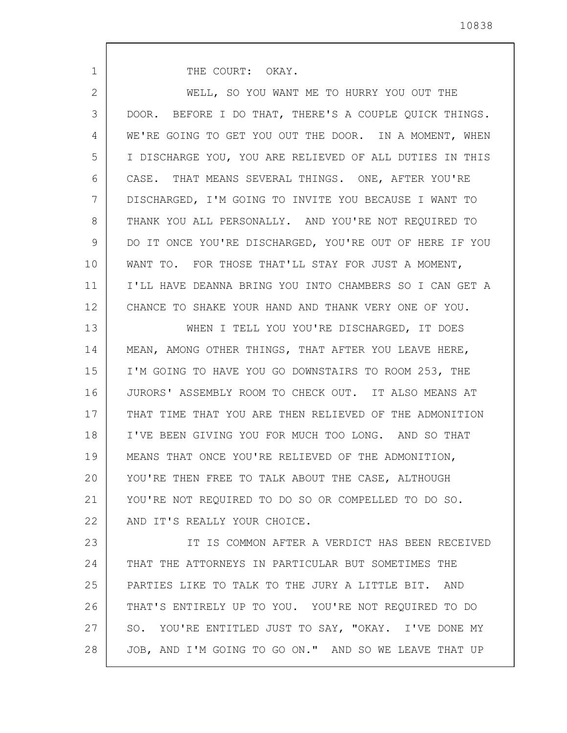THE COURT: OKAY.

1

| $\overline{2}$ | WELL, SO YOU WANT ME TO HURRY YOU OUT THE               |
|----------------|---------------------------------------------------------|
| 3              | DOOR. BEFORE I DO THAT, THERE'S A COUPLE QUICK THINGS.  |
| 4              | WE'RE GOING TO GET YOU OUT THE DOOR. IN A MOMENT, WHEN  |
| 5              | I DISCHARGE YOU, YOU ARE RELIEVED OF ALL DUTIES IN THIS |
| 6              | CASE. THAT MEANS SEVERAL THINGS. ONE, AFTER YOU'RE      |
| 7              | DISCHARGED, I'M GOING TO INVITE YOU BECAUSE I WANT TO   |
| 8              | THANK YOU ALL PERSONALLY. AND YOU'RE NOT REQUIRED TO    |
| 9              | DO IT ONCE YOU'RE DISCHARGED, YOU'RE OUT OF HERE IF YOU |
| 10             | WANT TO. FOR THOSE THAT'LL STAY FOR JUST A MOMENT,      |
| 11             | I'LL HAVE DEANNA BRING YOU INTO CHAMBERS SO I CAN GET A |
| 12             | CHANCE TO SHAKE YOUR HAND AND THANK VERY ONE OF YOU.    |
| 13             | WHEN I TELL YOU YOU'RE DISCHARGED, IT DOES              |
| 14             | MEAN, AMONG OTHER THINGS, THAT AFTER YOU LEAVE HERE,    |
| 15             | I'M GOING TO HAVE YOU GO DOWNSTAIRS TO ROOM 253, THE    |
| 16             | JURORS' ASSEMBLY ROOM TO CHECK OUT. IT ALSO MEANS AT    |
| 17             | THAT TIME THAT YOU ARE THEN RELIEVED OF THE ADMONITION  |
| 18             | I'VE BEEN GIVING YOU FOR MUCH TOO LONG. AND SO THAT     |
| 19             | MEANS THAT ONCE YOU'RE RELIEVED OF THE ADMONITION,      |
| 20             | YOU'RE THEN FREE TO TALK ABOUT THE CASE, ALTHOUGH       |
| 21             | YOU'RE NOT REQUIRED TO DO SO OR COMPELLED TO DO SO.     |
| 22             | AND IT'S REALLY YOUR CHOICE.                            |
| 23             | IT IS COMMON AFTER A VERDICT HAS BEEN RECEIVED          |
| 24             | THAT THE ATTORNEYS IN PARTICULAR BUT SOMETIMES THE      |
| 25             | PARTIES LIKE TO TALK TO THE JURY A LITTLE BIT. AND      |
| 26             | THAT'S ENTIRELY UP TO YOU. YOU'RE NOT REQUIRED TO DO    |
| 27             | SO. YOU'RE ENTITLED JUST TO SAY, "OKAY. I'VE DONE MY    |
| 28             | JOB, AND I'M GOING TO GO ON." AND SO WE LEAVE THAT UP   |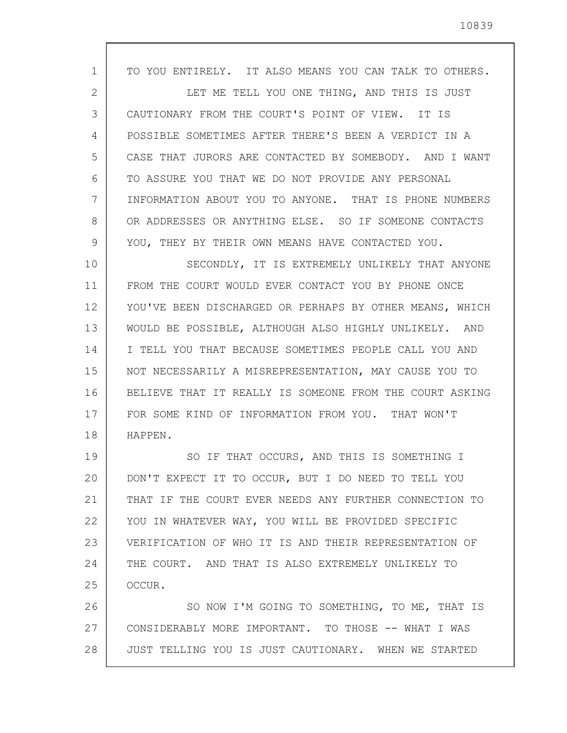| $\mathbf{1}$ | TO YOU ENTIRELY. IT ALSO MEANS YOU CAN TALK TO OTHERS.  |
|--------------|---------------------------------------------------------|
| 2            | LET ME TELL YOU ONE THING, AND THIS IS JUST             |
| 3            | CAUTIONARY FROM THE COURT'S POINT OF VIEW. IT IS        |
| 4            | POSSIBLE SOMETIMES AFTER THERE'S BEEN A VERDICT IN A    |
| 5            | CASE THAT JURORS ARE CONTACTED BY SOMEBODY. AND I WANT  |
| 6            | TO ASSURE YOU THAT WE DO NOT PROVIDE ANY PERSONAL       |
| 7            | INFORMATION ABOUT YOU TO ANYONE. THAT IS PHONE NUMBERS  |
| 8            | OR ADDRESSES OR ANYTHING ELSE. SO IF SOMEONE CONTACTS   |
| 9            | YOU, THEY BY THEIR OWN MEANS HAVE CONTACTED YOU.        |
| 10           | SECONDLY, IT IS EXTREMELY UNLIKELY THAT ANYONE          |
| 11           | FROM THE COURT WOULD EVER CONTACT YOU BY PHONE ONCE     |
| 12           | YOU'VE BEEN DISCHARGED OR PERHAPS BY OTHER MEANS, WHICH |
| 13           | WOULD BE POSSIBLE, ALTHOUGH ALSO HIGHLY UNLIKELY. AND   |
| 14           | I TELL YOU THAT BECAUSE SOMETIMES PEOPLE CALL YOU AND   |
| 15           | NOT NECESSARILY A MISREPRESENTATION, MAY CAUSE YOU TO   |
| 16           | BELIEVE THAT IT REALLY IS SOMEONE FROM THE COURT ASKING |
| 17           | FOR SOME KIND OF INFORMATION FROM YOU. THAT WON'T       |
| 18           | HAPPEN.                                                 |
| 19           | SO IF THAT OCCURS, AND THIS IS SOMETHING I              |
| 20           | DON'T EXPECT IT TO OCCUR, BUT I DO NEED TO TELL YOU     |
| 21           | THAT IF THE COURT EVER NEEDS ANY FURTHER CONNECTION TO  |
| 22           | YOU IN WHATEVER WAY, YOU WILL BE PROVIDED SPECIFIC      |
| 23           | VERIFICATION OF WHO IT IS AND THEIR REPRESENTATION OF   |
| 24           | THE COURT. AND THAT IS ALSO EXTREMELY UNLIKELY TO       |
| 25           | OCCUR.                                                  |
| 26           | SO NOW I'M GOING TO SOMETHING, TO ME, THAT IS           |
| 27           | CONSIDERABLY MORE IMPORTANT. TO THOSE -- WHAT I WAS     |
| 28           | JUST TELLING YOU IS JUST CAUTIONARY. WHEN WE STARTED    |

 $\mathsf{l}$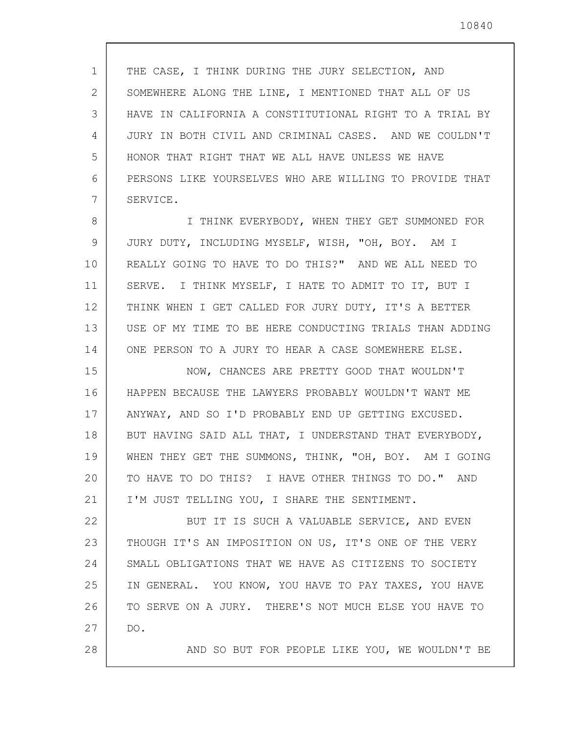1 2 3 4 5 6 7 8 9 10 11 12 13 14 15 16 17 18 19 20 21 22 23 24 25 26 27 28 THE CASE, I THINK DURING THE JURY SELECTION, AND SOMEWHERE ALONG THE LINE, I MENTIONED THAT ALL OF US HAVE IN CALIFORNIA A CONSTITUTIONAL RIGHT TO A TRIAL BY JURY IN BOTH CIVIL AND CRIMINAL CASES. AND WE COULDN'T HONOR THAT RIGHT THAT WE ALL HAVE UNLESS WE HAVE PERSONS LIKE YOURSELVES WHO ARE WILLING TO PROVIDE THAT SERVICE. I THINK EVERYBODY, WHEN THEY GET SUMMONED FOR JURY DUTY, INCLUDING MYSELF, WISH, "OH, BOY. AM I REALLY GOING TO HAVE TO DO THIS?" AND WE ALL NEED TO SERVE. I THINK MYSELF, I HATE TO ADMIT TO IT, BUT I THINK WHEN I GET CALLED FOR JURY DUTY, IT'S A BETTER USE OF MY TIME TO BE HERE CONDUCTING TRIALS THAN ADDING ONE PERSON TO A JURY TO HEAR A CASE SOMEWHERE ELSE. NOW, CHANCES ARE PRETTY GOOD THAT WOULDN'T HAPPEN BECAUSE THE LAWYERS PROBABLY WOULDN'T WANT ME ANYWAY, AND SO I'D PROBABLY END UP GETTING EXCUSED. BUT HAVING SAID ALL THAT, I UNDERSTAND THAT EVERYBODY, WHEN THEY GET THE SUMMONS, THINK, "OH, BOY. AM I GOING TO HAVE TO DO THIS? I HAVE OTHER THINGS TO DO." AND I'M JUST TELLING YOU, I SHARE THE SENTIMENT. BUT IT IS SUCH A VALUABLE SERVICE, AND EVEN THOUGH IT'S AN IMPOSITION ON US, IT'S ONE OF THE VERY SMALL OBLIGATIONS THAT WE HAVE AS CITIZENS TO SOCIETY IN GENERAL. YOU KNOW, YOU HAVE TO PAY TAXES, YOU HAVE TO SERVE ON A JURY. THERE'S NOT MUCH ELSE YOU HAVE TO DO. AND SO BUT FOR PEOPLE LIKE YOU, WE WOULDN'T BE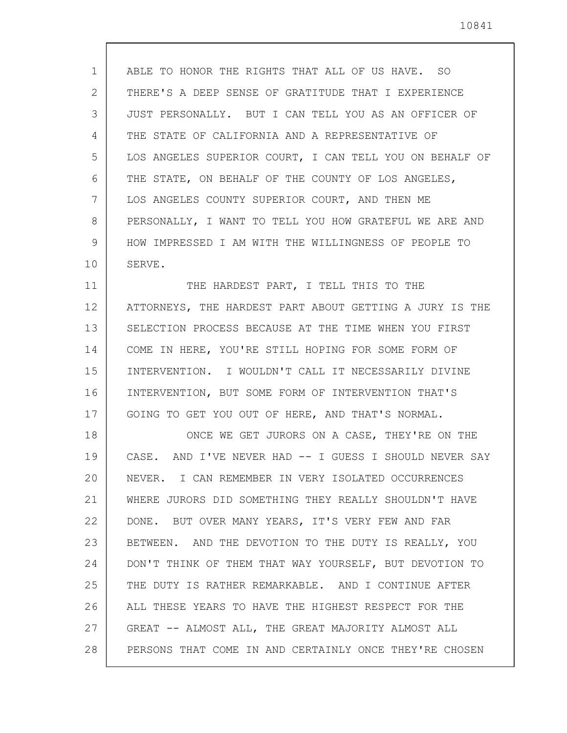1 2 3 4 5 6 7 8 9 10 ABLE TO HONOR THE RIGHTS THAT ALL OF US HAVE. SO THERE'S A DEEP SENSE OF GRATITUDE THAT I EXPERIENCE JUST PERSONALLY. BUT I CAN TELL YOU AS AN OFFICER OF THE STATE OF CALIFORNIA AND A REPRESENTATIVE OF LOS ANGELES SUPERIOR COURT, I CAN TELL YOU ON BEHALF OF THE STATE, ON BEHALF OF THE COUNTY OF LOS ANGELES, LOS ANGELES COUNTY SUPERIOR COURT, AND THEN ME PERSONALLY, I WANT TO TELL YOU HOW GRATEFUL WE ARE AND HOW IMPRESSED I AM WITH THE WILLINGNESS OF PEOPLE TO SERVE.

11 12 13 14 15 16 17 THE HARDEST PART, I TELL THIS TO THE ATTORNEYS, THE HARDEST PART ABOUT GETTING A JURY IS THE SELECTION PROCESS BECAUSE AT THE TIME WHEN YOU FIRST COME IN HERE, YOU'RE STILL HOPING FOR SOME FORM OF INTERVENTION. I WOULDN'T CALL IT NECESSARILY DIVINE INTERVENTION, BUT SOME FORM OF INTERVENTION THAT'S GOING TO GET YOU OUT OF HERE, AND THAT'S NORMAL.

18 19 20 21 22 23 24 25 26 27 28 ONCE WE GET JURORS ON A CASE, THEY'RE ON THE CASE. AND I'VE NEVER HAD -- I GUESS I SHOULD NEVER SAY NEVER. I CAN REMEMBER IN VERY ISOLATED OCCURRENCES WHERE JURORS DID SOMETHING THEY REALLY SHOULDN'T HAVE DONE. BUT OVER MANY YEARS, IT'S VERY FEW AND FAR BETWEEN. AND THE DEVOTION TO THE DUTY IS REALLY, YOU DON'T THINK OF THEM THAT WAY YOURSELF, BUT DEVOTION TO THE DUTY IS RATHER REMARKABLE. AND I CONTINUE AFTER ALL THESE YEARS TO HAVE THE HIGHEST RESPECT FOR THE GREAT -- ALMOST ALL, THE GREAT MAJORITY ALMOST ALL PERSONS THAT COME IN AND CERTAINLY ONCE THEY'RE CHOSEN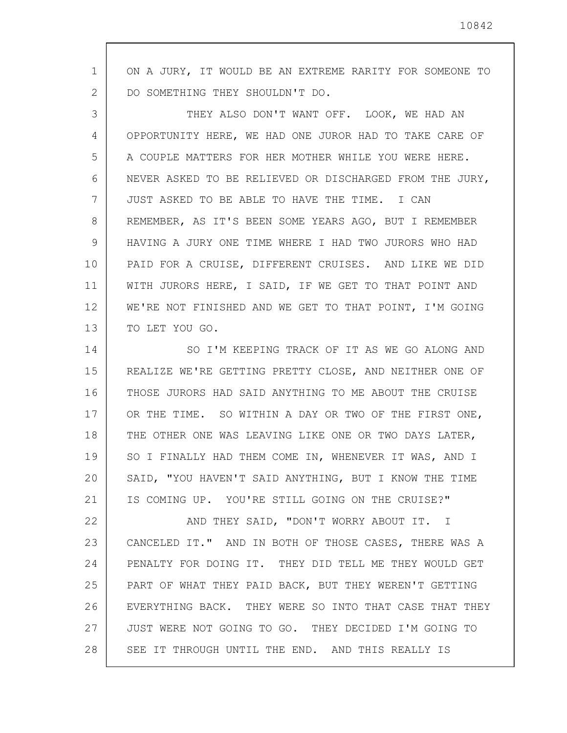1 2 ON A JURY, IT WOULD BE AN EXTREME RARITY FOR SOMEONE TO DO SOMETHING THEY SHOULDN'T DO.

3 4 5 6 7 8 9 10 11 12 13 THEY ALSO DON'T WANT OFF. LOOK, WE HAD AN OPPORTUNITY HERE, WE HAD ONE JUROR HAD TO TAKE CARE OF A COUPLE MATTERS FOR HER MOTHER WHILE YOU WERE HERE. NEVER ASKED TO BE RELIEVED OR DISCHARGED FROM THE JURY, JUST ASKED TO BE ABLE TO HAVE THE TIME. I CAN REMEMBER, AS IT'S BEEN SOME YEARS AGO, BUT I REMEMBER HAVING A JURY ONE TIME WHERE I HAD TWO JURORS WHO HAD PAID FOR A CRUISE, DIFFERENT CRUISES. AND LIKE WE DID WITH JURORS HERE, I SAID, IF WE GET TO THAT POINT AND WE'RE NOT FINISHED AND WE GET TO THAT POINT, I'M GOING TO LET YOU GO.

14 15 16 17 18 19 20 21 SO I'M KEEPING TRACK OF IT AS WE GO ALONG AND REALIZE WE'RE GETTING PRETTY CLOSE, AND NEITHER ONE OF THOSE JURORS HAD SAID ANYTHING TO ME ABOUT THE CRUISE OR THE TIME. SO WITHIN A DAY OR TWO OF THE FIRST ONE, THE OTHER ONE WAS LEAVING LIKE ONE OR TWO DAYS LATER, SO I FINALLY HAD THEM COME IN, WHENEVER IT WAS, AND I SAID, "YOU HAVEN'T SAID ANYTHING, BUT I KNOW THE TIME IS COMING UP. YOU'RE STILL GOING ON THE CRUISE?"

22 23 24 25 26 27 28 AND THEY SAID, "DON'T WORRY ABOUT IT. I CANCELED IT." AND IN BOTH OF THOSE CASES, THERE WAS A PENALTY FOR DOING IT. THEY DID TELL ME THEY WOULD GET PART OF WHAT THEY PAID BACK, BUT THEY WEREN'T GETTING EVERYTHING BACK. THEY WERE SO INTO THAT CASE THAT THEY JUST WERE NOT GOING TO GO. THEY DECIDED I'M GOING TO SEE IT THROUGH UNTIL THE END. AND THIS REALLY IS